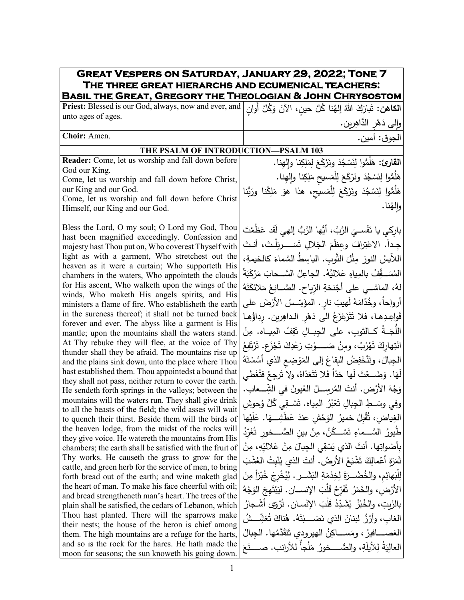## **Great Vespers on Saturday, January 29, 2022; Tone 7 The three great hierarchs and ecumenical teachers: Basil the Great, Gregory the Theologian & John Chrysostom**

| <b>Priest:</b> Blessed is our God, always, now and ever, and                                                      | ا <b>لكاهن:</b> تَبارَكَ اللهُ إلهُنا كُلَّ حينِ، الآنَ وَكُلَّ أُوانِ      |
|-------------------------------------------------------------------------------------------------------------------|-----------------------------------------------------------------------------|
| unto ages of ages.                                                                                                | وإلى دَهْرِ الدَّاهِرِينِ.                                                  |
| Choir: Amen.                                                                                                      | الجوق: آمين.                                                                |
| THE PSALM OF INTRODUCTION-PSALM 103                                                                               |                                                                             |
| Reader: Come, let us worship and fall down before                                                                 | القارئ: هَلَمُّوا لِنَسْجُدَ ونَرْكَعَ لِمَلِكِنا وإلهِنا.                  |
| God our King.                                                                                                     |                                                                             |
| Come, let us worship and fall down before Christ,                                                                 | هَلَمُّوا لِنَسْجُدَ ونَرْكَعَ لِلْمَسيحِ مَلِكِنا وإلهِنا.                 |
| our King and our God.                                                                                             | هَلُمُّوا لِنَسْجُدَ ونَرْكَعَ لِلْمَسيحِ، هذا هوَ مَلِكُنا ورَبُّنا        |
| Come, let us worship and fall down before Christ<br>Himself, our King and our God.                                | وإلهُنا.                                                                    |
|                                                                                                                   |                                                                             |
| Bless the Lord, O my soul; O Lord my God, Thou                                                                    | باركي يا نَفْســيَ الرَّبَّ، أَيُّها الرَّبُّ إلهي لَقَد عَظَمْتَ           |
| hast been magnified exceedingly. Confession and<br>majesty hast Thou put on, Who coverest Thyself with            | جداً. الاعْتِرافَ وعظَمَ الجَلالِ تَسَــــريَلْتَ، أنـتَ                    |
| light as with a garment, Who stretchest out the                                                                   | اللابسُ النورَ مِثْلَ الثَّوبِ. الباسِطُ السَّماءَ كالخيمةِ،                |
| heaven as it were a curtain; Who supporteth His<br>chambers in the waters, Who appointeth the clouds              | المُسَــقِّفُ بالمِياهِ عَلاليَّهُ. الجاعِلُ السَّــحابَ مَرْكَبَةً         |
| for His ascent, Who walketh upon the wings of the                                                                 | لهُ، الماشــي على أَجْنحَةِ الرّياحِ. الصَّــانِعُ مَلائكَتَهُ              |
| winds, Who maketh His angels spirits, and His<br>ministers a flame of fire. Who establisheth the earth            | أرواحاً، وخُدّامَهُ لَهيبَ نارٍ . المؤَسِّسُ الأَرْضَ على                   |
| in the sureness thereof; it shall not be turned back                                                              | قَواعِدِها، فلا تَتَزَعْزَعُ الى دَهْرِ الداهِرِينِ. رِداؤُها               |
| forever and ever. The abyss like a garment is His<br>mantle; upon the mountains shall the waters stand.           | اللَّجَــةُ كــالثوبِ، على الجِبــالِ نَقِفُ المِيــاه. مِنْ                |
| At Thy rebuke they will flee, at the voice of Thy                                                                 |                                                                             |
| thunder shall they be afraid. The mountains rise up                                                               | انْتِهاركَ تَهْرُبُ، ومِنْ صَــــــوْتِ رَعْدِكَ تَجْزَعِ. تَرْتَفِعُ       |
| and the plains sink down, unto the place where Thou                                                               | الْجِبالَ، وتَنْخَفِضُ الْبِقَاعَ إِلَى الْمَوْضِعِ الَّذِي أَسَّسْتَهُ     |
| hast established them. Thou appointedst a bound that<br>they shall not pass, neither return to cover the earth.   | لَهَا. وَضَــعْتَ لَها حَدّاً فَلا تَتَعَدّاهُ، ولا تَرجِعُ فتُغَطي         |
| He sendeth forth springs in the valleys; between the                                                              | وَجْهَ الأَرْضِ. أَنتَ الْمُرسِــلُ الْعُيونَ في الشِّـــعابِ.              |
| mountains will the waters run. They shall give drink                                                              | وفي وسَــطِ الجِبالِ تَعْبُرُ  المِياه. تَسْــقِي كُلَّ وُحوش               |
| to all the beasts of the field; the wild asses will wait<br>to quench their thirst. Beside them will the birds of | الغِياض، ثُقْبِلُ حَميرُ الوَحْشِ عندَ عَطَشِـــهَا. عَلَيْها               |
| the heaven lodge, from the midst of the rocks will                                                                |                                                                             |
| they give voice. He watereth the mountains from His                                                               | طَيورُ السَّـــماءِ تَسْـــكُنُ، مِنْ بين الصُــــخور تُغَرّدُ              |
| chambers; the earth shall be satisfied with the fruit of                                                          | بِأَصْواتِها. أَنتَ الذي يَسْقِي الْجِبالَ مِنْ عَلاليِّهِ، مِنْ            |
| Thy works. He causeth the grass to grow for the                                                                   | نَّمَرَةِ أَعْمالِكَ تَشْبَعُ الأرضُ. أنتَ الذي يُنْبِتُ العُشْبَ           |
| cattle, and green herb for the service of men, to bring                                                           | لِلْبَهائِمِ، والخُضْــرَةَ لِخِدْمَةِ البَشَــرِ . لِيُخْرِجَ خُبْزاً مِنَ |
| forth bread out of the earth; and wine maketh glad<br>the heart of man. To make his face cheerful with oil;       |                                                                             |
| and bread strengtheneth man's heart. The trees of the                                                             | الأَرْض، والخَمْرُ ۖ ثَفَرِّحُ قَلْبَ الإِنســانِ. ليَبْتَهجَ الوَجْهُ      |
| plain shall be satisfied, the cedars of Lebanon, which                                                            | بالزَبِتِ، والخُبْزُ  يُشَدِّدُ قَلْبَ الإِنْسانِ. تُرْوَى أَشْجارُ         |
| Thou hast planted. There will the sparrows make                                                                   | الغاب، وأَرْزُ لبنانَ الذي نَصَـــبْتَهُ. هُناكَ تُعَشِّـــشُ               |
| their nests; the house of the heron is chief among                                                                | العَصــــافيرُ ، ومَســــاكِنُ الـهيرودي تَتَقَدَّمُها. الـجبالُ            |
| them. The high mountains are a refuge for the harts,<br>and so is the rock for the hares. He hath made the        |                                                                             |
| moon for seasons; the sun knoweth his going down.                                                                 | العالِيَةُ لِلأَيلَةِ، والصُّــــخورُ مَلْجاً للأرانب. صـــــنَعَ           |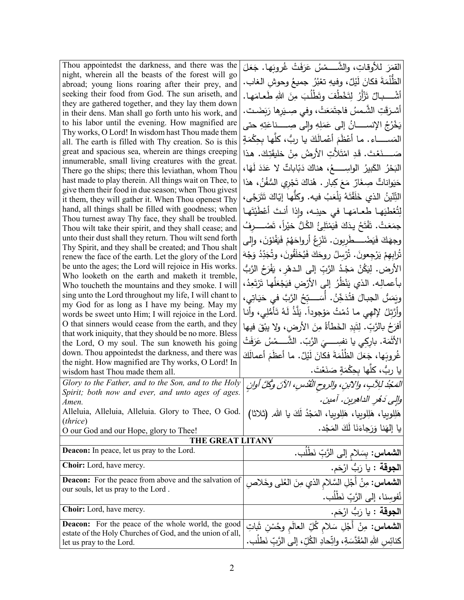| Thou appointedst the darkness, and there was the                                                                       | القَّمَرَ للأوقاتِ، والشَّــــمْسُ عَرَفَتْ غُروبَها. جَعَلَ           |
|------------------------------------------------------------------------------------------------------------------------|------------------------------------------------------------------------|
| night, wherein all the beasts of the forest will go                                                                    | الظُّلْمَةَ فكانَ لَيْلٌ، وفيهِ تعْبُرُ جميعُ وحوشِ الـغاب.            |
| abroad; young lions roaring after their prey, and<br>seeking their food from God. The sun ariseth, and                 |                                                                        |
| they are gathered together, and they lay them down                                                                     | أَشْـــــبالٌ تَزْأَرُ لِتَخْطُفَ وتَطْلُبَ مِنَ اللهِ طَعـامَهـا.     |
| in their dens. Man shall go forth unto his work, and                                                                   | أشرَقَتِ الشَّمسُ فاجتَمَعَتْ، وفي صِـيَرها رَبَضَـت.                  |
| to his labor until the evening. How magnified are                                                                      | يَخْرُجُ الإنســـــانُ إلى عَمَلِهِ وإلى صِـــــناعَتِهِ حتى           |
| Thy works, O Lord! In wisdom hast Thou made them                                                                       |                                                                        |
| all. The earth is filled with Thy creation. So is this                                                                 | المَســـــــاء. مـا أَعْظَمَ أَعْمـالَكَ يـا ربُّ، كلَّهـا بِحِكْمَةٍ  |
| great and spacious sea, wherein are things creeping<br>innumerable, small living creatures with the great.             | صَـــــنَعْتَ. قَدِ امْتَلأَتِ الأَرضُ مِنْ خَليقَتِكَ. هذا            |
| There go the ships; there this leviathan, whom Thou                                                                    | البَحْرُ الكَبِيرُ الواسِـــــعُ، هناكَ دَبّاباتٌ لا عَدَدَ لَهَا،     |
| hast made to play therein. All things wait on Thee, to                                                                 | حَيَواناتٌ صِغَارٌ مَعَ كِبارٍ . هُناكَ تَجْرِي السُّفُنُ، هذا         |
| give them their food in due season; when Thou givest                                                                   |                                                                        |
| it them, they will gather it. When Thou openest Thy                                                                    | النِّتّينُ الذي خَلَقْتَهُ يَلْعَبُ فيه. وكلّها إيّاكَ تَتَرَجَّى،     |
| hand, all things shall be filled with goodness; when                                                                   | لِتُعْطِيَهِـا طعـامَهـا في حينِـه، وإذا أنـتَ أَعْطَيْتَهـا           |
| Thou turnest away Thy face, they shall be troubled.                                                                    | جمَعَتْ. تَفْتَحُ يدَكَ فَيَمْتَلِئُ الْكُلُّ خيْراً، تَصْـــــرفُ     |
| Thou wilt take their spirit, and they shall cease; and                                                                 |                                                                        |
| unto their dust shall they return. Thou wilt send forth<br>Thy Spirit, and they shall be created; and Thou shalt       | وجهَكَ فَيَضْــــطّْرِبون. تَنْزِعُ أَرواحَهُمْ فَيَفْنَوْنَ، وإلى     |
| renew the face of the earth. Let the glory of the Lord                                                                 | تُرابِهِمْ يَرْجِعونَ. تُرْسِلُ روحَكَ فَيُخلَقُونَ، وتُجَدِّدُ وَجْهَ |
| be unto the ages; the Lord will rejoice in His works.                                                                  | الأرض. لِيَكُنْ مَجْدُ الرَّبِّ إلى الـدهْرِ ، يَفْرَحُ الرَّبُّ       |
| Who looketh on the earth and maketh it tremble,                                                                        |                                                                        |
| Who toucheth the mountains and they smoke. I will                                                                      | بأعمالِه. الذي يَنْظُرُ إلى الأَرْضِ فيَجْعَلُها تَرْتَعِدُ،           |
| sing unto the Lord throughout my life, I will chant to                                                                 | وِيَمَسُ الْجِبالَ فِتُدَخِّنُ. أَسَـــبِّحُ الرَّبَّ في حَيَاتِي،     |
| my God for as long as I have my being. May my                                                                          | وأَرَّتِلُ لِإلهِي ما دُمْتُ مَوْجوداً. يَلَّذُ لَهُ تَأْمُلِي، وأنا   |
| words be sweet unto Him; I will rejoice in the Lord.<br>O that sinners would cease from the earth, and they            |                                                                        |
| that work iniquity, that they should be no more. Bless                                                                 | أَفْرَحُ بِالرَّبِّ. لِتَبِدِ الْخَطَأَةُ مِنَ الأَرضِ، ولا يبْقَ فيها |
| the Lord, O my soul. The sun knoweth his going                                                                         | الأَثْمَة. بارِكِي يا نفسِــــيَ الرَّبّ. الشَّـــمْسُ عَرَفَتْ        |
| down. Thou appointedst the darkness, and there was                                                                     | غُروبَها، جَعَلَ الظُلْمَةَ فكانَ لَيْلٌ. ما أعظَمَ أعمالَكَ           |
| the night. How magnified are Thy works, O Lord! In                                                                     |                                                                        |
| wisdom hast Thou made them all.                                                                                        | يا ربُ، كلّها بحِكْمَةٍ صَنَعْتَ.                                      |
| Glory to the Father, and to the Son, and to the Holy                                                                   | المَحْدُ للِآبِ، والآبنِ، والروحِ الْقُدْسِ، الآنَ وكُلَّ أُوان        |
| Spirit; both now and ever, and unto ages of ages.<br>Amen.                                                             | والِي دَهْرِ الداهرِينِ. آمينِ.                                        |
| Alleluia, Alleluia, Alleluia. Glory to Thee, O God.                                                                    |                                                                        |
| ( <i>thrice</i> )                                                                                                      | هَلِلوبِيا، هَلِلوبِيا، هَلِلوبِيا، المَجْدُ لَكَ يا الله. (ثلاثا)     |
| O our God and our Hope, glory to Thee!                                                                                 | يا إلهَنا وَرَجاءَنَا لَكَ المَجْد.                                    |
| THE GREAT LITANY                                                                                                       |                                                                        |
| <b>Deacon:</b> In peace, let us pray to the Lord.                                                                      | الشماس: بِسَلامِ إلى الرَّبِّ نَطْلُب.                                 |
| Choir: Lord, have mercy.                                                                                               | ا <b>لجوقة</b> : يا رَبُّ ارْحَم.                                      |
| <b>Deacon:</b> For the peace from above and the salvation of                                                           | ال <b>نشَّماس:</b> مِنْ أَجْلِ السَّلام الذي مِنَ الْعُلَى وخَلاصِ     |
| our souls, let us pray to the Lord.                                                                                    | نُفوسِنا، إلى الرَّبّ نَطْلُب.                                         |
| <b>Choir:</b> Lord, have mercy.                                                                                        | ا <b>لجوقة</b> : يا رَبُّ ارْحَم.                                      |
|                                                                                                                        |                                                                        |
| <b>Deacon:</b> For the peace of the whole world, the good<br>estate of the Holy Churches of God, and the union of all, | ا <b>لشماس:</b> مِنْ أَجْلِ سَلام كُلِّ العالَم وحُسْنِ شَاتِ          |
| let us pray to the Lord.                                                                                               | كنائِس اللهِ المُقَدَّسَةِ، واتِّحادِ الكُلِّ، إلى الرَّبِّ نَطلَب.    |
|                                                                                                                        |                                                                        |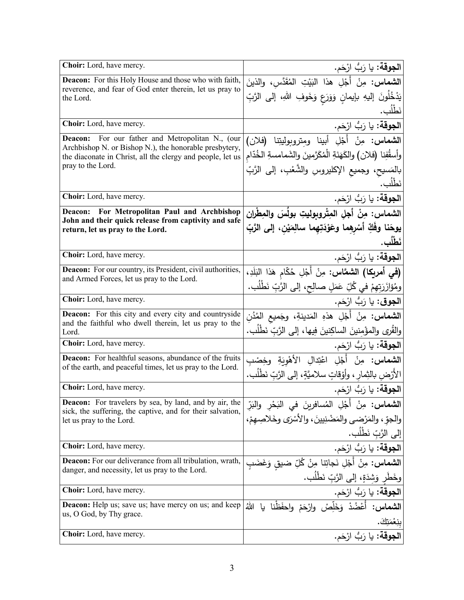| Choir: Lord, have mercy.                                                                                                    | ا <b>لجوقة:</b> يا رَبُّ ارْحَم.                                 |
|-----------------------------------------------------------------------------------------------------------------------------|------------------------------------------------------------------|
| <b>Deacon:</b> For this Holy House and those who with faith,<br>reverence, and fear of God enter therein, let us pray to    | ا <b>لشماس:</b> مِنْ أَجْلِ هذا البَيْتِ المُقَدَّس، والذينَ     |
| the Lord.                                                                                                                   | يَدْخُلُونَ إليهِ بإيمانٍ وَوَرَعٍ وَخَوفِ اللهِ، إلى الرَّبِّ   |
|                                                                                                                             | نَطْلُب.                                                         |
| Choir: Lord, have mercy.                                                                                                    | ا <b>لجوقة:</b> يا رَبُّ ارْحَم.                                 |
| For our father and Metropolitan N., (our<br>Deacon:<br>Archbishop N. or Bishop N.), the honorable presbytery,               | ا <b>لشماس:</b> مِنْ أَجْلِ أبينا ومِتروبوليتِنا (فلان)          |
| the diaconate in Christ, all the clergy and people, let us                                                                  | وأسقُفِنا (فلان) والكَهَنَةِ الْمُكَرَّمينَ والشَمامسةِ الخُدّام |
| pray to the Lord.                                                                                                           | بالمَسيح، وجميع الإكليروسِ والشَّعْبِ، إلى الرَّبِّ              |
|                                                                                                                             | نَطْلُبِ.                                                        |
| Choir: Lord, have mercy.                                                                                                    | ا <b>لجوقة:</b> يا رَبُّ ارْحَم.                                 |
| For Metropolitan Paul and Archbishop<br>Deacon:<br>John and their quick release from captivity and safe                     | الشماس: مِنْ أجلِ المِثْروبوليتِ بولُسَ والمِطْران               |
| return, let us pray to the Lord.                                                                                            | يوحَنا وفَكِّ أسْرهِما وعَوْدَتِهِما سالِمَيْنِ، إلى الرَّبِّ    |
|                                                                                                                             | نَطْلُبِ .                                                       |
| Choir: Lord, have mercy.                                                                                                    | ا <b>لجوقة:</b> يا رَبُّ ارْحَم.                                 |
| Deacon: For our country, its President, civil authorities,<br>and Armed Forces, let us pray to the Lord.                    | (في أمريكا) الشعَّاس: مِنْ أَجْلِ حُكَّام هَذا النَلَدِ،         |
|                                                                                                                             | ومُؤازَرَتِهِمْ في كُلِّ عَمَلٍ صالِحٍ، إلى الرَّبِّ نَطْلُب.    |
| Choir: Lord, have mercy.                                                                                                    | ا <b>لجوق</b> : يا رَبُّ ارْحَم.                                 |
| <b>Deacon:</b> For this city and every city and countryside<br>and the faithful who dwell therein, let us pray to the       | <b>الشماس:</b> مِنْ أَجْلِ هذهِ المَدينةِ، وجَميع المُدُن        |
| Lord.                                                                                                                       | والقُرى والمؤمنينَ الساكِنينَ فِيها، إلى الرَّبّ نَطْلُب.        |
| Choir: Lord, have mercy.                                                                                                    | ا <b>لجوقة:</b> يا رَبُّ ارْحَم.                                 |
| <b>Deacon:</b> For healthful seasons, abundance of the fruits<br>of the earth, and peaceful times, let us pray to the Lord. | <b>الشماس:</b> مِنْ أَجْلِ اعْتِدالِ الأَهْوِيَةِ وخِصْب         |
|                                                                                                                             | الأَرْض بالثِمار ، وأَوْقاتٍ سلاميَّةٍ، إلى الرَّبِّ نَطْلُب.    |
| Choir: Lord, have mercy.                                                                                                    | ا <b>لجوقة:</b> يا رَبُّ ارْحَم.                                 |
| <b>Deacon:</b> For travelers by sea, by land, and by air, the<br>sick, the suffering, the captive, and for their salvation, | <b>الشماس:</b> مِنْ أَجْلِ الْمُسافرينَ في الْبَحْرِ والْبَرِّ   |
| let us pray to the Lord.                                                                                                    | والجوّ ، والمَرْضـى والمَضْنِيينَ ، والأَسْرَى وخَلاصِهمْ،       |
|                                                                                                                             | إلى الرَّبِّ نَطْلُب.                                            |
| <b>Choir:</b> Lord, have mercy.                                                                                             | <b>الجوقة:</b> يا رَبُّ ارْحَم.                                  |
| <b>Deacon:</b> For our deliverance from all tribulation, wrath,<br>danger, and necessity, let us pray to the Lord.          | ا <b>لشماس:</b> مِنْ أَجْلِ نَجاتِنا مِنْ كُلِّ ضيقٍ وَغَضَبِ    |
|                                                                                                                             | وخَطَر وَشَدَةٍ، إلى الرَّبِّ نَطْلُب.                           |
| Choir: Lord, have mercy.                                                                                                    | ا <b>لجوقة:</b> يا رَبُّ ارْحَم.                                 |
| Deacon: Help us; save us; have mercy on us; and keep<br>us, O God, by Thy grace.                                            | اللَّهُ<br>أَعْضُدْ وَخَلِّصْ وِارْحَمْ واحفَظنا يا              |
|                                                                                                                             |                                                                  |
| Choir: Lord, have mercy.                                                                                                    | ا <b>لجوقة:</b> يا رَبُّ ارْحَم.                                 |
|                                                                                                                             |                                                                  |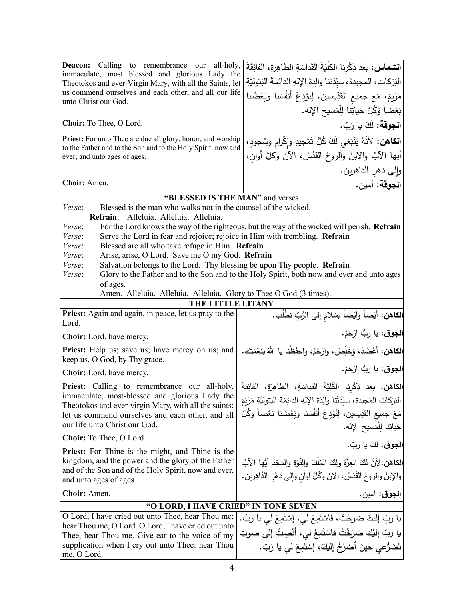| <b>Deacon:</b> Calling to remembrance our<br>all-holy,                                                                                            | ا <b>لشماس:</b> بعدَ ذِكْرِنا الكلِّيَةَ القَداسَةِ الطاهِرَةَ، الفائِقَةَ                  |  |
|---------------------------------------------------------------------------------------------------------------------------------------------------|---------------------------------------------------------------------------------------------|--|
| immaculate, most blessed and glorious Lady the<br>Theotokos and ever-Virgin Mary, with all the Saints, let                                        | البَرَكاتِ، المَجيدةَ، سيّدَتَنا والِدةَ الإِلهِ الدائِمَةَ البَتوليَّةِ                    |  |
| us commend ourselves and each other, and all our life<br>unto Christ our God.                                                                     | مَرْيَمَ، مَعَ جَميع القدِّيسين، لِنوْدِعْ أَنفُسَنا وبَعْضُنا                              |  |
|                                                                                                                                                   | بَعْضاً وَكُلَّ حَياتِنا لِلْمَسيحِ الإِله.                                                 |  |
| Choir: To Thee, O Lord.                                                                                                                           | ا <b>لجوقة:</b> لَكَ يا رَبّ.                                                               |  |
| Priest: For unto Thee are due all glory, honor, and worship                                                                                       | ا <b>لكاهن:</b> لأنَّهُ يَنْبَغي لَكَ كُلُّ تَمْعِيدٍ وإِكْرامِ وسُجودٍ،                    |  |
| to the Father and to the Son and to the Holy Spirit, now and<br>ever, and unto ages of ages.                                                      | أيها الآبُ والابنُ والروحُ القدُسُ، الآنَ وكلَّ أوانِ،                                      |  |
|                                                                                                                                                   |                                                                                             |  |
| Choir: Amen.                                                                                                                                      | وإلى دهرِ الداهرين.<br>ا <b>لجوقة:</b> آمين.                                                |  |
| "BLESSED IS THE MAN" and verses                                                                                                                   |                                                                                             |  |
| Blessed is the man who walks not in the counsel of the wicked.<br>Verse:<br>Refrain: Alleluia. Alleluia. Alleluia.                                |                                                                                             |  |
| Verse:                                                                                                                                            | For the Lord knows the way of the righteous, but the way of the wicked will perish. Refrain |  |
| Serve the Lord in fear and rejoice; rejoice in Him with trembling. Refrain<br>Verse:<br>Blessed are all who take refuge in Him. Refrain<br>Verse: |                                                                                             |  |
| Arise, arise, O Lord. Save me O my God. Refrain<br>Verse:                                                                                         |                                                                                             |  |
| Salvation belongs to the Lord. Thy blessing be upon Thy people. Refrain<br>Verse:                                                                 |                                                                                             |  |
| Verse:<br>of ages.                                                                                                                                | Glory to the Father and to the Son and to the Holy Spirit, both now and ever and unto ages  |  |
| Amen. Alleluia. Alleluia. Alleluia. Glory to Thee O God (3 times).                                                                                |                                                                                             |  |
| THE LITTLE LITANY                                                                                                                                 |                                                                                             |  |
| <b>Priest:</b> Again and again, in peace, let us pray to the<br>Lord.                                                                             | ا <b>لكاهن:</b> أيْضاً وأيْضاً بِسَلامِ إلى الرَّبِّ نَطْلُب.                               |  |
| <b>Choir:</b> Lord, have mercy.                                                                                                                   | ا <b>لجوق</b> : يا ربُّ ارْحَمْ.                                                            |  |
| Priest: Help us; save us; have mercy on us; and<br>keep us, O God, by Thy grace.                                                                  | ا <b>لكاهن:</b> أعْضُدْ، وَخَلِّصْ، وارْحَمْ، واحفَظْنا يا اللهُ بِنِعْمَتِكَ.              |  |
| <b>Choir:</b> Lord, have mercy.                                                                                                                   | ا <b>لجوق</b> : يا ربُّ ارْحَمْ.                                                            |  |
| <b>Priest:</b> Calling to remembrance our all-holy,                                                                                               | ا <b>لكاهن: بع</b> دَ ذِكْرِنا الكُلِّيَّةَ القَداسَةِ، الطاهِرَةَ، الفائِقَةَ              |  |
| immaculate, most-blessed and glorious Lady the<br>Theotokos and ever-virgin Mary, with all the saints:                                            | البَرَكاتِ المَجيدة، سيّدَتَنا والِدَةَ الإِلهِ الدائِمَةَ البَتوليَّةِ مَرْبَمَ            |  |
| let us commend ourselves and each other, and all                                                                                                  | مَعَ جميع القدِّيسين، لِنُوْدِعْ أَنْفُسَنا ويَعْضُنا بَعْضاً وَكُلَّ                       |  |
| our life unto Christ our God.                                                                                                                     | حَياتِنا لِلْمَسيحِ الإِله.                                                                 |  |
| Choir: To Thee, O Lord.                                                                                                                           | ا <b>لجوق:</b> لكَ يا ربّ.                                                                  |  |
| <b>Priest:</b> For Thine is the might, and Thine is the                                                                                           |                                                                                             |  |
| kingdom, and the power and the glory of the Father<br>and of the Son and of the Holy Spirit, now and ever,                                        | الكاهن:لأنَّ لكَ العِزَّةَ ولكَ المُلْكَ والقُوَّةَ والمَجْدَ أَيُّها الآبُ                 |  |
| and unto ages of ages.                                                                                                                            | والإبنُ والروحُ القُدُسُ، الآنَ وكُلَّ أوانِ وإلى دَهْرِ الدَّاهِرينِ.                      |  |
| Choir: Amen.                                                                                                                                      | ا <b>لجوق</b> : آمين.                                                                       |  |
| "O LORD, I HAVE CRIED" IN TONE SEVEN                                                                                                              |                                                                                             |  |
| O Lord, I have cried out unto Thee, hear Thou me;<br>hear Thou me, O Lord. O Lord, I have cried out unto                                          | يا ربِّ إليكَ صَرَخْتُ، فَاسْتَمِعْ لَي، إِسْتَمِعْ لَي يا ربُّ.                            |  |
| Thee, hear Thou me. Give ear to the voice of my                                                                                                   | يا ربِّ إلَيْكَ صَرَخْتُ فاسْتَمِعْ لي، أَنْصِتْ إلى صوتِ                                   |  |
| supplication when I cry out unto Thee: hear Thou<br>me, O Lord.                                                                                   | تَضَرُّعي حينَ أَصْرُخُ إِلَيكَ، إِسْتَمِعْ لَي يا رَبِّ.                                   |  |
|                                                                                                                                                   |                                                                                             |  |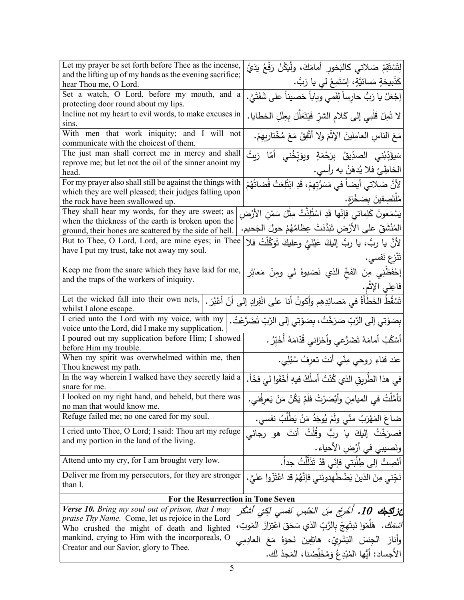| Let my prayer be set forth before Thee as the incense,<br>and the lifting up of my hands as the evening sacrifice; | لِتَسْتَقِمْ صَلاتي كالبَخورِ أمامَكَ، ولْيَكُنْ رَفْعُ يَدَيَّ               |  |
|--------------------------------------------------------------------------------------------------------------------|-------------------------------------------------------------------------------|--|
| hear Thou me, O Lord.                                                                                              | كَذَبِيحَةٍ مَسائيَّةٍ، إِسْتَمِعْ لَي يا رَبُّ.                              |  |
| Set a watch, O Lord, before my mouth, and a<br>protecting door round about my lips.                                | إجْعَلْ يا رَبُّ حارِساً لِفَمي وباباً حَصيناً على شَفَتَيَّ.                 |  |
| Incline not my heart to evil words, to make excuses in                                                             | لا تُمِلْ قَلْبِي إلى كَلامِ الشرِّ فَيَتَعَلَّلَ بِعِلَلِ الخطايا.           |  |
| sins.                                                                                                              |                                                                               |  |
| With men that work iniquity; and I will not<br>communicate with the choicest of them.                              | مَعَ الناسِ العامِلينَ الإثْمَ ولا أتَّفِقُ مَعَ مُخْتارِيهِمْ.               |  |
| The just man shall correct me in mercy and shall                                                                   | سَيؤَدِّبُني الصدِّيقُ بِرَحْمَةٍ ويوَبِّخُني أمّا زيتُ                       |  |
| reprove me; but let not the oil of the sinner anoint my<br>head.                                                   | الخاطِئ فلا يُدهَنُ به رأسي.                                                  |  |
| For my prayer also shall still be against the things with                                                          | لأنَّ صَلاتي أيضاً في مَسَرَّتِهِمْ، قَدِ ابْتُلِعَتْ قُضاتُهُمْ              |  |
| which they are well pleased; their judges falling upon                                                             |                                                                               |  |
| the rock have been swallowed up.                                                                                   | مُلْتَصِقِينَ بِصَخْرَةِ.                                                     |  |
| They shall hear my words, for they are sweet; as                                                                   | يَسْمَعونَ كَلِماتي فإنّها قَدِ اسْتُلِّذَتْ مِثْلَ سَمْنِ الأَرْضِ           |  |
| when the thickness of the earth is broken upon the                                                                 | المُنْشَقِّ على الأَرْضِ تَبَدَّدَتْ عِظامُهُمْ حولَ الجَحيم.                 |  |
| ground, their bones are scattered by the side of hell.                                                             |                                                                               |  |
| But to Thee, O Lord, Lord, are mine eyes; in Thee<br>have I put my trust, take not away my soul.                   | لأنَّ يا ربُّ، يا ربُّ إليكَ عَيْنَيَّ وعليكَ تَوَكَّلْتُ فلا                 |  |
|                                                                                                                    | تَنْزع نَفسي.                                                                 |  |
| Keep me from the snare which they have laid for me,                                                                | إِحْفَظْنِي مِنَ الفَخِّ الذي نَصَبوهُ لي ومِنْ مَعاثِرِ                      |  |
| and the traps of the workers of iniquity.                                                                          | فاعِلي الإثم.                                                                 |  |
| Let the wicked fall into their own nets,                                                                           | تَسْقُطُ الخَطَأَةُ في مَصائِدِهِم وأكونُ أنا على انْفِرادٍ إلى أنْ أعْبُرَ . |  |
| whilst I alone escape.                                                                                             |                                                                               |  |
| I cried unto the Lord with my voice, with my<br>voice unto the Lord, did I make my supplication.                   | بِصَوْتِي إلى الرَّبِّ صَرَخْتُ، بِصَوْتِي إلى الرَّبِّ تَضَرَّعْتُ.          |  |
| I poured out my supplication before Him; I showed<br>before Him my trouble.                                        | أَسْكُبُ أَمامَهُ تَضَرُّعي وأَحْزاني قُدّامَهُ أَخَبِّرُ .                   |  |
| When my spirit was overwhelmed within me, then<br>Thou knewest my path.                                            | عند فناءِ روحي مِنّي أنتَ تعرِفُ سُبُلِي.                                     |  |
| In the way wherein I walked have they secretly laid a                                                              |                                                                               |  |
| snare for me.                                                                                                      | في هذا الطَّريقِ الذي كُنْتُ أسلُكُ فيهِ أخْفَوا ليَ فخّاً.                   |  |
| I looked on my right hand, and beheld, but there was<br>no man that would know me.                                 | تأمَّلْتُ في الميامِنِ وأَبْصَرْتُ فلَمْ يَكُنْ مَنْ يَعرِفُني.               |  |
| Refuge failed me; no one cared for my soul.                                                                        | ضاعَ المَهْرَبُ منّي ولَمْ يُوجَدُ مَنْ يَطْلُبُ نفسى.                        |  |
| I cried unto Thee, O Lord; I said: Thou art my refuge                                                              | فصرَخْتُ إليكَ يا ربُّ وقُلْتُ أنتَ هو رجائى                                  |  |
| and my portion in the land of the living.                                                                          | ونَصيبي في أرْضِ الأحياء.                                                     |  |
| Attend unto my cry, for I am brought very low.                                                                     | أَنْصِتْ إِلَى طِلْبَتي فإنّي قَدْ تَذَلَّلْتُ جداً.                          |  |
| Deliver me from my persecutors, for they are stronger                                                              | نَجِّني مِنَ الذينَ يَضْطُهِدونَني فإنَّهُمْ قد اعْتَزُّوا عليَّ.             |  |
| than I.                                                                                                            |                                                                               |  |
| <b>For the Resurrection in Tone Seven</b>                                                                          |                                                                               |  |
| Verse 10. Bring my soul out of prison, that I may                                                                  | ا <b>ئزنگجك 10.</b> أُخْرِجْ مِنَ الْحُبْسِ نَفْسى لَكِنْى أَشْكُر            |  |
| <i>praise Thy Name.</i> Come, let us rejoice in the Lord                                                           |                                                                               |  |
| Who crushed the might of death and lighted                                                                         | <i>اسْمَكَ.</i> هَلُمّوا نَبتَهِجْ بِالرَّبِّ الذي سَحَقَ اعْتِزازَ المَوتِ،  |  |
| mankind, crying to Him with the incorporeals, O                                                                    | وأَنارَ   الْجِنسَ   البَشَريِّ،   هاتِفِينَ   نَحوَهُ   مَعَ   العادِمِي     |  |
| Creator and our Savior, glory to Thee.                                                                             | الأَجساد: أَيُّها المُبْدِعُ وَمُخَلِّصُنا، المَجدُ لَك.                      |  |
|                                                                                                                    |                                                                               |  |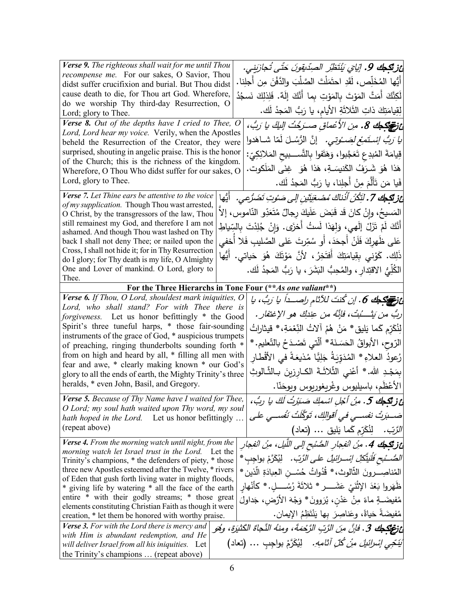| Verse 9. The righteous shall wait for me until Thou                                                              | غز تَجْجُ 9. إِيَايَ يَنْتَظِرُ الصِدِّيقِونَ حَتَّى تُجازَينِي.                           |
|------------------------------------------------------------------------------------------------------------------|--------------------------------------------------------------------------------------------|
| recompense me. For our sakes, O Savior, Thou                                                                     | أَيُّها المُخَلِّص، لَقَدِ احتَمَلْتَ الصَّلْبَ والدَّفْنَ مِن أجلِنا.                     |
| didst suffer crucifixion and burial. But Thou didst                                                              |                                                                                            |
| cause death to die, for Thou art God. Wherefore,<br>do we worship Thy third-day Resurrection, O                  | لَكِنَّكَ أَمَتَّ المَوْتَ بِالمَوْتِ بِما أَنَّكَ إِلَهٌ. فَلِذلِكَ نَسجُدُ               |
| Lord; glory to Thee.                                                                                             | لِقِيامَتِكَ ذاتِ الثَلاثَةِ الأيامِ، يا رَبُّ المَجِدُ لَك.                               |
| <b>Verse 8.</b> Out of the depths have I cried to Thee, O                                                        | ئ قرار من الأعماق صرَخْتُ اللهِ أَ يا رَبُّ،                                               |
| Lord, Lord hear my voice. Verily, when the Apostles<br>beheld the Resurrection of the Creator, they were         | <i>يا رَبُّ إِسْتَمِعْ لِصَـوْتِي.</i> إِنَّ الرُّسُـلَ لَمَّا شـاهَدوا                    |
| surprised, shouting in angelic praise. This is the honor                                                         | قِيامَةَ المُبدِعِ تَعَجَّبوا، وَهَتَفوا بِالتَّســـبيحِ المَلائِكِيِّ:                    |
| of the Church; this is the richness of the kingdom.                                                              | هَذَا هُوَ شَـرَفُ الكَنسَـةِ، هَذَا هُوَ  غِنَى المَلَكوت.                                |
| Wherefore, O Thou Who didst suffer for our sakes, O<br>Lord, glory to Thee.                                      | فَيا مَن تَأَلَّمَ مِنْ أَجلِنا، يا رَبُّ المَجدُ لَك.                                     |
| Verse 7. Let Thine ears be attentive to the voice                                                                |                                                                                            |
| of my supplication. Though Thou wast arrested,                                                                   | عْزِ <b>تَكِطِّ 7.</b> لِتَكُنْ أَنْناكَ مُصْغِيَّتْين إلى صَنُوتِ تَضَرَّعي.   أَيُّها    |
| O Christ, by the transgressors of the law, Thou                                                                  | المَسيحُ، وإنْ كانَ قَد قَبَضَ عَلَيكَ رِجالٌ مُتَعَدِّو النّاموس، إلاّ                    |
| still remainest my God, and therefore I am not<br>ashamed. And though Thou wast lashed on Thy                    | أَنَّكَ لَمْ تَزَلْ إِلَهِي، وَلِهَذا لَستُ أَخزَى. وَإِنْ جُلِدْتَ بِالسِّياطِ            |
| back I shall not deny Thee; or nailed upon the                                                                   | عَلى ظَهركَ فَلَنْ أَجحَدَ ، أَو سُمِّرتَ عَلى الصَّليبِ فَلا أَخفي                        |
| Cross, I shall not hide it; for in Thy Resurrection<br>do I glory; for Thy death is my life, O Almighty          | ذَلِك. كَوْنى بِقِيامَتِكَ أَفتَخِرُ، لأَنَّ مَوْتَكَ هُوَ حَياتي. أَيُّها                 |
| One and Lover of mankind. O Lord, glory to                                                                       | الكُلِّيُّ الاقتِدارِ ، والمُحِبُّ البَشَرَ ، يا رَبُّ المَجدُ لَك.                        |
| Thee.                                                                                                            |                                                                                            |
| For the Three Hierarchs in Tone Four (**As one valiant**)                                                        |                                                                                            |
| Verse 6. If Thou, O Lord, shouldest mark iniquities, O                                                           | ئ قلمانی میگیدن که این کنت للآثام راصـــداً یا رَبَّ، یا                                   |
| Lord, who shall stand? For with Thee there is<br>forgiveness. Let us honor befittingly * the Good                | ربٌ من يَتْسُبُتْ، فانِّهُ من عِندِكَ هو الإغتفار .                                        |
| Spirit's three tuneful harps, * those fair-sounding                                                              | لِنُكَرِّمِ كَما يَليق* مَنْ هُمْ آلاتُ النِّعْمَةِ،* قيثاراتُ                             |
| instruments of the grace of God, * auspicious trumpets                                                           | الرّوح، الأبواقُ الحَسَنَة* أَلَّتى تَصْدَحُ بالتّعليم.*                                   |
| of preaching, ringing thunderbolts sounding forth *<br>from on high and heard by all, * filling all men with     |                                                                                            |
| fear and awe, * clearly making known * our God's                                                                 | رُعودُ العلاءِ * المُدَوِّيَةُ جَلِيًّا مُذيعَةً في الأقْطارِ                              |
| glory to all the ends of earth, the Mighty Trinity's three                                                       | بِمَجْدِ الله. * أَعْني الثِّلاثَـةَ الكـارزينَ بـالثِّـالوثِ                              |
| heralds, * even John, Basil, and Gregory.                                                                        | الأعْظُم، باسيليوس وغْريغوريوس ويوحَنّا.                                                   |
| Verse 5. Because of Thy Name have I waited for Thee,                                                             | <b>ئ زنگجك 5 .</b> مِنْ أَجْلِ اسْمِكَ صَنَبْرتَ لَكَ يا ربُ،                              |
| O Lord; my soul hath waited upon Thy word, my soul<br>Let us honor befittingly<br>hath hoped in the Lord.        | صَــبِرَتْ نفســي في أقوالِكَ، تَوَكَّلْتُ نَفْســي على                                    |
| (repeat above)                                                                                                   | ا <i>لرَّبّ.</i> لِثُكَرِّم كَما يَليق  (تعاد)                                             |
| Verse 4. From the morning watch until night, from the                                                            | غ <b>زنكيك 4 .</b> مِنْ انْفِجارِ الصُّنْبح إلى اللَّيل، مِنْ انْفِجارِ                    |
| morning watch let Israel trust in the Lord. Let the                                                              | الصُّــْبحِ فَلْنيَّكَلِّ ابْســرائيلُ علـى الرَّبّ.    لِيُكَرَّمْ بواجِبِ *              |
| Trinity's champions, * the defenders of piety, * those<br>three new Apostles esteemed after the Twelve, * rivers | المُناصِـــرونَ الثَّالوث، * قُدُواتُ حُسْـــنِ العِبادَةِ الَّذينِ *                      |
| of Eden that gush forth living water in mighty floods,                                                           |                                                                                            |
| * giving life by watering * all the face of the earth<br>entire * with their godly streams; * those great        | ظَهَروا بَعْدَ الإِثْنَىٰ عَشَــــر * ثلاثَةَ رُسُـــــلِ. * كَأَنْهار                     |
| elements constituting Christian Faith as though it were                                                          | مُفيضَـــةٍ ماءً مِنْ عَدْنٍ، يُرَوونَ* وَجْهَ الأَرْضِ، جَداولَ                           |
| creation, * let them be honored with worthy praise.                                                              | مُفيضَةً حَياةً، وعَناصِرَ بها يَنْتَظِمُ الإِيمانِ.                                       |
| Verse 3. For with the Lord there is mercy and                                                                    | عْ نَوْتِكُمْكَ 3 . فَإِنَّ مِنَ الرَّبِّ الرَّحْمَةَ، ومنهُ النَّجاةَ الكَثْيَرَةِ، وهُوَ |
| with Him is abundant redemption, and He<br>will deliver Israel from all his iniquities. Let                      | َيَنَجّ <i>ِي إِسْرائِيلَ مِنْ كُلِّ آثامِهِ.</i> لِيُكَرَّمْ بواجِبِ … (تعاد)             |
| the Trinity's champions  (repeat above)                                                                          |                                                                                            |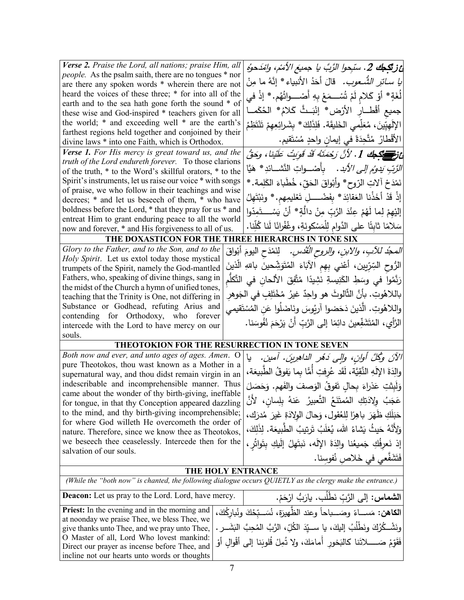| Verse 2. Praise the Lord, all nations; praise Him, all                                                                                                                             | اع زنكجك 2 . سبّحوا الرَّبّ يا جميع الأمَم، وامْدَحوُهِ                            |  |
|------------------------------------------------------------------------------------------------------------------------------------------------------------------------------------|------------------------------------------------------------------------------------|--|
| <i>people.</i> As the psalm saith, there are no tongues * nor<br>are there any spoken words * wherein there are not                                                                | <i>يا سـائرِ الشُّـعوب.</i> قالَ أَحَدُ الأنبياء * إنَّهُ ما مِنْ                  |  |
| heard the voices of these three; * for into all of the                                                                                                                             |                                                                                    |  |
| earth and to the sea hath gone forth the sound * of                                                                                                                                | لَغَةٍ* أَوْ كَلامٍ لَمْ تُسْـــمَعْ بِهِ أَصْــــواتُهُم.* إذْ في                 |  |
| these wise and God-inspired * teachers given for all                                                                                                                               | جميع أقْطـــارِ الأرْض* إِنْبَــتَّ كَلامُ* الــُكَمـــ                            |  |
| the world; * and exceeding well * are the earth's                                                                                                                                  | الإِلَهِيِّينَ، مُعَلِّمي الخَليقَة. فَلِذَلِكَ* بِشَرائِعِهِمْ تَنْتَظِمُ         |  |
| farthest regions held together and conjoined by their                                                                                                                              | الأقْطَارُ مُتَّحِدَةً في إيمانٍ واحدٍ مُسْتَقيمٍ.                                 |  |
| divine laws * into one Faith, which is Orthodox.                                                                                                                                   |                                                                                    |  |
| Verse 1. For His mercy is great toward us, and the<br>truth of the Lord endureth forever. To those clarions                                                                        | ئ في السَّمَاعِ مِنْ 1. لأَنَّ رَحْمَتَهُ قَدْ قَوِيتُ عَلَيْنَا، وَحَقَّ          |  |
| of the truth, * to the Word's skillful orators, * to the                                                                                                                           | <i>الرَّبِّ بَدو<sub>ُمُ</sub> إلى الأَبد.</i> بأصْـــواتِ النَّشــائدِ * هَيَّا   |  |
| Spirit's instruments, let us raise our voice * with songs                                                                                                                          | نَمْدَحْ آلاتِ الرّوحِ * وأَبْواقَ الحَقِّ، خُطَباءَ الكَلِمة. *                   |  |
| of praise, we who follow in their teachings and wise                                                                                                                               |                                                                                    |  |
| decrees; * and let us beseech of them, * who have                                                                                                                                  | إِذْ قَدْ أَخَذْنا العَقائِدَ* بِفَضْـــــلِ تَعْليمِهم.* ونَبْتَهِلُ              |  |
| boldness before the Lord, * that they pray for us * and                                                                                                                            | إِلَيْهِمْ لِما لَهُمْ عِنْدَ الرَّبِّ مِنْ دالَّةٍ* أَنْ يَسْـــــتَمِدّوا        |  |
| entreat Him to grant enduring peace to all the world                                                                                                                               |                                                                                    |  |
| now and forever, * and His forgiveness to all of us.                                                                                                                               | سَلامًا ثابتًا على الدَّوام لِلْمَسْكونَةِ، وغُفْرانًا لَنا كُلِّنا.               |  |
| THE DOXASTICON FOR THE THREE HIERARCHS IN TONE SIX                                                                                                                                 |                                                                                    |  |
| Glory to the Father, and to the Son, and to the                                                                                                                                    | <i>المجدُ للأبِ، والابنِ، والروح القُدُسِ.</i> لِنَمْدَح اليومَ أَبْواقَ           |  |
| Holy Spirit. Let us extol today those mystical                                                                                                                                     | الرُّوحِ السِّرِّيينِ، أَعْني بِهِم الْأَبَاءَ الْمُتَوَشِّحينَ باللهِ الَّذينَ    |  |
| trumpets of the Spirit, namely the God-mantled<br>Fathers, who, speaking of divine things, sang in                                                                                 |                                                                                    |  |
| the midst of the Church a hymn of unified tones,                                                                                                                                   | رَنَّمُوا في وسَطِ الكَنِيسةِ نَشِيدًا مُتَّفِقَ الأَلحان في التَّكلُّم            |  |
| teaching that the Trinity is One, not differing in                                                                                                                                 | باللاهُوتِ. بأنَّ الثَّالوثَ هو واحِدٌ غيرُ مُخْتَلِفٍ في الجَوهرِ                 |  |
| Substance or Godhead, refuting Arius and                                                                                                                                           |                                                                                    |  |
| contending for Orthodoxy, who forever                                                                                                                                              | واللاهُوتِ. الَّذينَ دَحَضوا آريُوسَ ونَاضَلُوا عَنِ الْمُسْتَقيمي                 |  |
| intercede with the Lord to have mercy on our                                                                                                                                       | الرَّأْيِ، المُتَشَفِّعينَ دائِمًا إلى الرَّبِّ أَنْ يَرْحَمَ نُفُوسَنا.           |  |
| souls.                                                                                                                                                                             |                                                                                    |  |
| <b>THEOTOKION FOR THE RESURRECTION IN TONE SEVEN</b>                                                                                                                               |                                                                                    |  |
| Both now and ever, and unto ages of ages. Amen. O<br>الآنَ وكُلَّ أُوان، وإلى دَهْرِ الداهِرِينَ. آمين.<br>یا                                                                      |                                                                                    |  |
| pure Theotokos, thou wast known as a Mother in a<br>والِدَةَ الإِلَهِ النَّقِيَّةِ، لَقَد عُرِفتِ أُمًّا بِما يَفوقُ الطَّبيعَةِ،                                                  |                                                                                    |  |
| supernatural way, and thou didst remain virgin in an                                                                                                                               |                                                                                    |  |
| indescribable and incomprehensible manner. Thus                                                                                                                                    | وَلَبِثْتِ عَذْراءَ بِحالٍ تَفوقُ الوَصفَ والفَهم. وَحَصَلَ                        |  |
| came about the wonder of thy birth-giving, ineffable<br>عَجَبُ وِلِادَتِكِ الْمُمتَنَعُ التَّعبيرُ  عَنهُ بِلِسان،  لأَنَّ<br>for tongue, in that thy Conception appeared dazzling |                                                                                    |  |
| to the mind, and thy birth-giving incomprehensible;                                                                                                                                | حَبَلَكِ ظَهَرَ باهِرًا لِلعُقولِ، وَحالَ الوِلادَةِ غَيرَ مُدرَكٍ،                |  |
| for where God willeth He overcometh the order of<br>وَلِأَنَّهُ حَيثُ يَشاءُ الله، يُغلِّبُ تَرتِيبُ الطَّبِيعَةِ. لِذَلِكَ،                                                       |                                                                                    |  |
| nature. Therefore, since we know thee as Theotokos,                                                                                                                                |                                                                                    |  |
| we beseech thee ceaselessly. Intercede then for the<br>salvation of our souls.                                                                                                     | إذ نَعرِفُكِ جَميعُنا والِدَةَ الإِلَه، نَبتَهِلُ إِلَيكِ بِتَواثُرٍ ،             |  |
|                                                                                                                                                                                    | فَتَشَفَّعي في خَلاص نُفوسنا.                                                      |  |
| THE HOLY ENTRANCE                                                                                                                                                                  |                                                                                    |  |
| (While the "both now" is chanted, the following dialogue occurs QUIETLY as the clergy make the entrance.)                                                                          |                                                                                    |  |
| <b>Deacon:</b> Let us pray to the Lord. Lord, have mercy.                                                                                                                          | ا <b>لشماس:</b> إلى الرَّبِّ نَطْلَب. يارَبُّ ارْحَمْ.                             |  |
| <b>Priest:</b> In the evening and in the morning and                                                                                                                               | ا <b>لكاهن:</b> مَســـاءً وصَـــباحاً وعند الظّهيرَة، نُسَــبّحُكَ ونُباركُكَ،     |  |
| at noonday we praise Thee, we bless Thee, we                                                                                                                                       |                                                                                    |  |
| give thanks unto Thee, and we pray unto Thee,                                                                                                                                      | ونَشْـكُرُكَ ونَطْلَبُ إليكَ، يا ســيِّدَ الكُلِّ، الرَّبَّ المُحِبَّ البَشَــرِ . |  |
| O Master of all, Lord Who lovest mankind:<br>Direct our prayer as incense before Thee, and                                                                                         | فَقَوّمْ صَــــــلاتَنا كالبَخور أَمامَكَ، ولا تُمِلْ قُلوبَنا إلى أقْوالِ أَوْ    |  |
| incline not our hearts unto words or thoughts                                                                                                                                      |                                                                                    |  |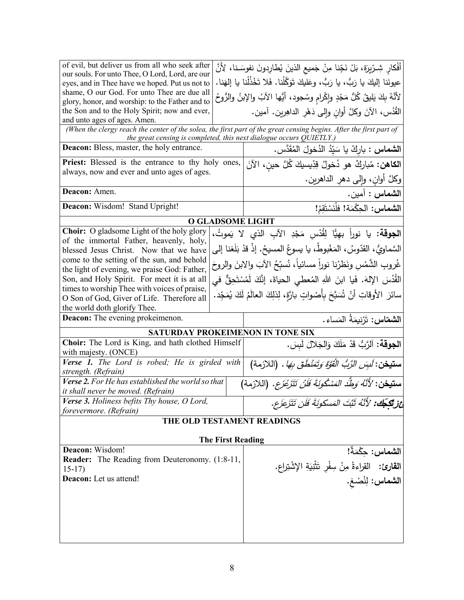| of evil, but deliver us from all who seek after          |                         |                                                                                                                                                                                            |
|----------------------------------------------------------|-------------------------|--------------------------------------------------------------------------------------------------------------------------------------------------------------------------------------------|
| our souls. For unto Thee, O Lord, Lord, are our          |                         | أَفْكارِ شِـرّيزة، بَلْ نَجِّنا مِنْ جَميعِ الذينَ يُطارِدونَ نفوسَـنا، لِأَنَّ                                                                                                            |
| eyes, and in Thee have we hoped. Put us not to           |                         | عيونَنا إليكَ يا رَبُّ، يا رَبُّ، وعَليكَ تَوَكَّلْنا. فَلا تَخْذُلْنا يا إلهَنا.                                                                                                          |
| shame, O our God. For unto Thee are due all              |                         |                                                                                                                                                                                            |
| glory, honor, and worship: to the Father and to          |                         | لأنَّهُ بِكَ يَليقُ كُلُّ مَجْدٍ وإِكْرامٍ وسُجود، أيُّها الآبُ والإبنُ والرُّوحُ                                                                                                          |
| the Son and to the Holy Spirit; now and ever,            |                         | القُدُس، الآنَ وكلَّ أوانِ وإلى دَهْرِ الداهِرين. آمين.                                                                                                                                    |
| and unto ages of ages. Amen.                             |                         |                                                                                                                                                                                            |
|                                                          |                         | (When the clergy reach the center of the solea, the first part of the great censing begins. After the first part of<br>the great censing is completed, this next dialogue occurs QUIETLY.) |
| <b>Deacon:</b> Bless, master, the holy entrance.         |                         | ا <b>لشماس :</b> باركْ يا سَيّدُ الدُخولَ المُقَدَّس.                                                                                                                                      |
| Priest: Blessed is the entrance to thy holy ones,        |                         | ا <b>لكاهن:</b> مُباركٌ هو دُخولُ قِدِّيسيكَ كُلَّ حينِ، الآنَ                                                                                                                             |
| always, now and ever and unto ages of ages.              |                         |                                                                                                                                                                                            |
|                                                          |                         | وكلَّ أُوان، وإِلَى دهر الداهرين.                                                                                                                                                          |
| Deacon: Amen.                                            |                         | الشماس : آمين.                                                                                                                                                                             |
| Deacon: Wisdom! Stand Upright!                           |                         | الشماس: الحِكْمَة! فلْنَسْتَقِمْ!                                                                                                                                                          |
|                                                          | <b>O GLADSOME LIGHT</b> |                                                                                                                                                                                            |
| Choir: O gladsome Light of the holy glory                |                         | ا <b>لجوقة:</b> يا نوراً بهِيًّا لِقُدْس مَجْدِ الآبِ الذي لا يَموتُ،                                                                                                                      |
| of the immortal Father, heavenly, holy,                  |                         |                                                                                                                                                                                            |
| blessed Jesus Christ. Now that we have                   |                         | السَّماويُّ ، القدّوسُ ، المَغْبوطُ، يا يسوعُ المسيحُ. إذْ قدْ بَلَغنا إلى                                                                                                                 |
| come to the setting of the sun, and behold               |                         | غُروبِ الشَّمْسِ ونَظرْنا نوراً مسائياً، نُسبِّحُ الآبَ والابنَ والروحَ                                                                                                                    |
| the light of evening, we praise God: Father,             |                         |                                                                                                                                                                                            |
| Son, and Holy Spirit. For meet it is at all              |                         | القُدُسَ الإِلهَ. فَيا ابنَ اللهِ المُعطيِ الحياةَ، إِنَّكَ لَمُسْتَحِقٌّ في                                                                                                               |
| times to worship Thee with voices of praise,             |                         | سائرَ  الأوقاتِ  أنْ شَسَبَّحَ بِأَصْواتٍ بارَّةٍ، لِذلِكَ العالَمُ لَكَ يُمَجِّد.                                                                                                         |
| O Son of God, Giver of Life. Therefore all               |                         |                                                                                                                                                                                            |
| the world doth glorify Thee.                             |                         |                                                                                                                                                                                            |
| Deacon: The evening prokeimenon.                         |                         | ا <b>لشمتاس:</b> تَرْنِيمَةُ المَساء.                                                                                                                                                      |
| SATURDAY PROKEIMENON IN TONE SIX                         |                         |                                                                                                                                                                                            |
| Choir: The Lord is King, and hath clothed Himself        |                         | الجوقة: اَلرَّبُّ قَدْ مَلَكَ وَالجَلالَ لَبِسَ.                                                                                                                                           |
| with majesty. (ONCE)                                     |                         |                                                                                                                                                                                            |
| Verse 1. The Lord is robed; He is girded with            |                         | س <b>نتيخن</b> : <i>لَسِّن الرَّبُّ الْقَوَّةَ وَتَمَنْطُقَ بِهَا</i> . (اللازمة)                                                                                                          |
| strength. (Refrain)                                      |                         |                                                                                                                                                                                            |
| Verse 2. For He has established the world so that        |                         | س <b>تيخن</b> : <i>'لأَنَّهُ وَطُّدَ المَسْكُونَةَ فَلَنْ تَتَزَّعْزَع</i> . (اللازمة)                                                                                                     |
| <i>it shall never be moved. (Refrain)</i>                |                         |                                                                                                                                                                                            |
| Verse 3. Holiness befits Thy house, O Lord,              |                         | لِمَرْتَكِجَكَ: 'لأَنَّهُ ثَبَّتَ المَسكونَةَ فَلَن تَتَزَعَزَع.                                                                                                                           |
| forevermore. (Refrain)                                   |                         |                                                                                                                                                                                            |
| THE OLD TESTAMENT READINGS                               |                         |                                                                                                                                                                                            |
| <b>The First Reading</b>                                 |                         |                                                                                                                                                                                            |
| Deacon: Wisdom!                                          |                         |                                                                                                                                                                                            |
| The Reading from Deuteronomy. (1:8-11,<br><b>Reader:</b> |                         |                                                                                                                                                                                            |
| $15-17)$                                                 |                         |                                                                                                                                                                                            |
| Deacon: Let us attend!                                   |                         | ا <b>لشماس:</b> حِكْمَةٌ!<br>ا <b>لقارئ:</b> القراءةُ مِنْ سِفْرِ تَتَّنِيَةِ الإِشْتِراع.<br>ا <b>لشماس:</b> لِنُصْغِ.                                                                    |
|                                                          |                         |                                                                                                                                                                                            |
|                                                          |                         |                                                                                                                                                                                            |
|                                                          |                         |                                                                                                                                                                                            |
|                                                          |                         |                                                                                                                                                                                            |
|                                                          |                         |                                                                                                                                                                                            |
|                                                          |                         |                                                                                                                                                                                            |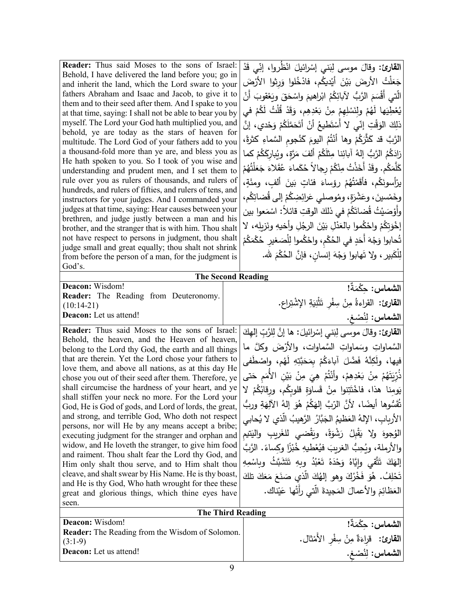| Reader: Thus said Moses to the sons of Israel:                                                              | القارئ: وقالَ موسى لِبَني إسْرائيلَ انْظُروا، إنِّي قَدْ                    |
|-------------------------------------------------------------------------------------------------------------|-----------------------------------------------------------------------------|
| Behold, I have delivered the land before you; go in                                                         | جَعَلْتُ الأَرضَ بَيْنَ أَيْدِيكُم، فادْخُلوا وَرِثوا الأَرْضَ              |
| and inherit the land, which the Lord sware to your<br>fathers Abraham and Isaac and Jacob, to give it to    |                                                                             |
| them and to their seed after them. And I spake to you                                                       | الَّتِي أَقْسَمَ الرَّبُّ لآبائِكُمُ ابْرِاهِيمَ واسْحَقَ ويَعْقوبَ أَنْ    |
| at that time, saying: I shall not be able to bear you by                                                    | يُعْطِيَها لَهُمْ ولِنَسْلِهِمْ مِنْ بَعْدِهِم، وَقَدْ قُلْتُ لَكُمْ في     |
| myself. The Lord your God hath multiplied you, and                                                          | ذلِكَ الوَقْتِ إِنِّي لا أَسْتَطِيعُ أَنْ أَتَحَمَّلَكُمْ وَحْدي، إِنَّ     |
| behold, ye are today as the stars of heaven for                                                             | الرَّبَّ قد كَثَّرَكُمْ وها أَنْتُمُ اليومَ كَنُجومِ السَّماءِ كثرةً،       |
| multitude. The Lord God of your fathers add to you<br>a thousand-fold more than ye are, and bless you as    |                                                                             |
| He hath spoken to you. So I took of you wise and                                                            | زادَكُمُ الرَّبُّ إِلهُ آبائِنا مِثْلَكُمْ أَلفَ مَرَّةٍ، ويُباركَكُمْ كما  |
| understanding and prudent men, and I set them to                                                            | كَلّْمَكُم. وقَدْ أَخَذْتُ مِنْكُمْ رِجالاً حُكَماءَ عُقَلاءَ جَعَلْتُهُمْ  |
| rule over you as rulers of thousands, and rulers of                                                         | يرْأْسونَكُم، فأَقَمْتُهُمْ رؤساءَ فنَاتٍ بَينَ أَلْفٍ، ومئَةٍ،             |
| hundreds, and rulers of fifties, and rulers of tens, and                                                    | وخَمْسينَ، وعَشْرَةٍ، ومُوصلي عَرائِضِكُمْ إلى قُضاتِكُم،                   |
| instructors for your judges. And I commanded your<br>judges at that time, saying: Hear causes between your  |                                                                             |
| brethren, and judge justly between a man and his                                                            | وأَوْصَيْتُ قُضاتَكُمْ في ذلكَ الوقتِ قائلاً: اسْمَعوا بين                  |
| brother, and the stranger that is with him. Thou shalt                                                      | إخْوَتِكُمْ واحْكُموا بالعَدْلِ بَيْنَ الرجُلِ وأخيهِ ونَزِيلِه، لا         |
| not have respect to persons in judgment, thou shalt                                                         | تُحابوا وَجْهَ أَحَدٍ في الحُكْم، واحْكُموا لِلْصَغيرِ حُكْمَكُمْ           |
| judge small and great equally; thou shalt not shrink                                                        | لِلْكَبِيرِ ، ولا تَهابوا وَجْهَ إنسانِ، فإنَّ الْحُكْمَ لله.               |
| from before the person of a man, for the judgment is<br>God's.                                              |                                                                             |
| <b>The Second Reading</b>                                                                                   |                                                                             |
| Deacon: Wisdom!                                                                                             | الشماس: حكْمَةٌ!                                                            |
| Reader: The Reading from Deuteronomy.                                                                       |                                                                             |
| $(10:14-21)$                                                                                                | القارئ: القراءةُ مِنْ سِفْرِ تَثْنِيَةِ الإشْتِراعِ.                        |
| Deacon: Let us attend!                                                                                      | الشماس: لِنُصْغ.                                                            |
| Reader: Thus said Moses to the sons of Israel:                                                              | ا <b>لقارئ:</b> وقالَ موسى لِبَني إسْرائيلَ: ها إنَّ لِلرَّبِّ إلهِكَ       |
| Behold, the heaven, and the Heaven of heaven,<br>belong to the Lord thy God, the earth and all things       | السَّماواتِ وسَماواتِ السَّماواتِ، والأَرْضَ وكلَّ ما                       |
| that are therein. Yet the Lord chose your fathers to                                                        | فيها، ولَكِنَّهُ فَضَّلَ آباءَكُمْ بِمَحَبَّتِهِ لَهُم، واصْطَفى            |
| love them, and above all nations, as at this day He                                                         |                                                                             |
| chose you out of their seed after them. Therefore, ye                                                       | ذُرِّيَتَهُمْ مِنْ بَعْدِهِمْ، وأَنْتُمْ هِيَ مِنْ بَيْنِ الأُمَمِ حَتَّى   |
| shall circumcise the hardness of your heart, and ye                                                         | يَومنا هذا، فاخْتَتِنوا مِنْ قَساوَةِ قلوبِكُم، ورقابُكُمْ لا               |
| shall stiffen your neck no more. For the Lord your<br>God, He is God of gods, and Lord of lords, the great, | نُقَسُّوها أَيضًا، لأَنَّ الرّبَّ إِلهَكُمْ هُوَ إِلهُ الآلِهَةِ وربُّ      |
| and strong, and terrible God, Who doth not respect                                                          | الأرباب، الإلهُ العَظيمُ الجَبَّارُ  الرَّهيبُ الَّذي لا يُحابي             |
| persons, nor will He by any means accept a bribe;                                                           |                                                                             |
| executing judgment for the stranger and orphan and                                                          | الْوُجوهَ ولا يَقْبِلُ رَشْوَةً، ويَقْضي لْلْغَرِيبِ واليَتِيمِ             |
| widow, and He loveth the stranger, to give him food                                                         | والأرملة، وبُحِبُّ الغريبَ فيُعْطيهِ خُبْزًا وكساءً. الرَّبَّ               |
| and raiment. Thou shalt fear the Lord thy God, and<br>Him only shalt thou serve, and to Him shalt thou      | إِلْهَكَ تَتَّقَى وإِيَّاهُ وَحْدَهُ تَعْبُدُ وبِهِ تَتَثَبَبَتُ وبِاسْمِهِ |
| cleave, and shalt swear by His Name. He is thy boast,                                                       | تَحْلِفُ. هُوَ فَخْرُكَ وهو إِلْهُكَ الَّذِي صَنَعَ مَعَكَ تلكَ             |
| and He is thy God, Who hath wrought for thee these                                                          |                                                                             |
| great and glorious things, which thine eyes have                                                            | العَظَائِمَ والأعمالَ المَجيدةَ الَّتي رأتْها عَيْناك.                      |
| seen.                                                                                                       |                                                                             |
|                                                                                                             |                                                                             |
| <b>The Third Reading</b>                                                                                    |                                                                             |
| Deacon: Wisdom!                                                                                             | الشماس: حِكْمَةَ!                                                           |
| <b>Reader:</b> The Reading from the Wisdom of Solomon.<br>$(3:1-9)$                                         | القارئ:   قرِاءَةٌ مِنْ سِفْرِ الأَمْثال.                                   |
| Deacon: Let us attend!                                                                                      | الشماس: لِنُصْغ.                                                            |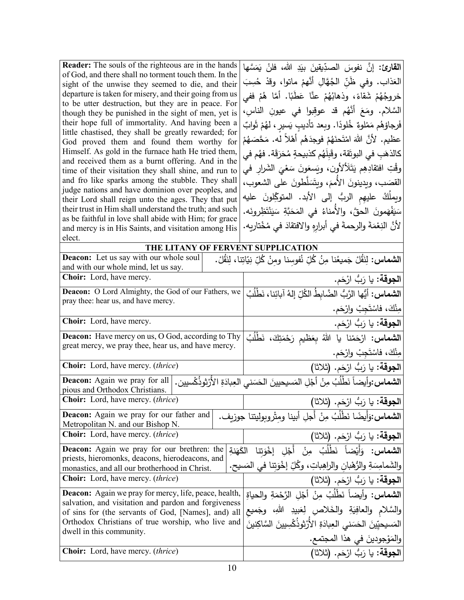| <b>Reader:</b> The souls of the righteous are in the hands<br>of God, and there shall no torment touch them. In the<br>sight of the unwise they seemed to die, and their<br>departure is taken for misery, and their going from us<br>to be utter destruction, but they are in peace. For<br>though they be punished in the sight of men, yet is<br>their hope full of immortality. And having been a<br>little chastised, they shall be greatly rewarded; for<br>God proved them and found them worthy for<br>Himself. As gold in the furnace hath He tried them,<br>and received them as a burnt offering. And in the<br>time of their visitation they shall shine, and run to<br>and fro like sparks among the stubble. They shall<br>judge nations and have dominion over peoples, and<br>their Lord shall reign unto the ages. They that put<br>their trust in Him shall understand the truth; and such<br>as be faithful in love shall abide with Him; for grace<br>and mercy is in His Saints, and visitation among His | ا <b>لقارئ:</b> إنَّ نفوسَ الصدِّيقينَ بيَدِ الله، فلنْ يَمَسَّها<br>العَذاب. وفي ظُنِّ الجُهَّالِ أنَّهمْ ماتوا، وقدْ حُسِبَ<br>خروجُهُمْ شَقاءً، وذهابُهُمْ عنَّا عَطَبًا. أَمَّا هُمْ ففي<br>السَّلام. ومَعَ أَنَّهُم قد عوقِبوا في عيونِ الناسِ،<br>فَرجاؤهُم مَمْلوءٌ خُلودًا. وبعد تأديبِ يَسيرِ ، لهُمْ ثَوابٌ<br>عظيم. لأنَّ اللهَ امْتَحنَهُمْ فوجدَهُم أهْلاً له. مَحَّصَهُمْ<br>كالذهَبِ في البوتَقة، وقَبِلَهُم كذبيحةٍ مُحَرَقَة. فهُم في<br>وقْتِ افتقادِهِم يَتَلَألأُون، ويَسعَونَ سَعْيَ الشَرارِ في<br>القصَب، ويدينونَ الأممَ، ويتَسَلَّطونَ على الشعوب،<br>ويملُكُ   عليهِم   الربُّ   إلى   الأبد.   المتوكِّلونَ   عليه<br>سَيَفْهَمونَ الحقَّ، والأمناءُ في المَحَبَّةِ سَيَنْتَظِرونَه.<br>لأنَّ النِعْمَةَ والرحمةَ في أبراره والافتقادَ في مُخْتارِيه. |  |
|--------------------------------------------------------------------------------------------------------------------------------------------------------------------------------------------------------------------------------------------------------------------------------------------------------------------------------------------------------------------------------------------------------------------------------------------------------------------------------------------------------------------------------------------------------------------------------------------------------------------------------------------------------------------------------------------------------------------------------------------------------------------------------------------------------------------------------------------------------------------------------------------------------------------------------------------------------------------------------------------------------------------------------|----------------------------------------------------------------------------------------------------------------------------------------------------------------------------------------------------------------------------------------------------------------------------------------------------------------------------------------------------------------------------------------------------------------------------------------------------------------------------------------------------------------------------------------------------------------------------------------------------------------------------------------------------------------------------------------------------------------------------------------------------------------------------------|--|
| elect.                                                                                                                                                                                                                                                                                                                                                                                                                                                                                                                                                                                                                                                                                                                                                                                                                                                                                                                                                                                                                         |                                                                                                                                                                                                                                                                                                                                                                                                                                                                                                                                                                                                                                                                                                                                                                                  |  |
| THE LITANY OF FERVENT SUPPLICATION                                                                                                                                                                                                                                                                                                                                                                                                                                                                                                                                                                                                                                                                                                                                                                                                                                                                                                                                                                                             |                                                                                                                                                                                                                                                                                                                                                                                                                                                                                                                                                                                                                                                                                                                                                                                  |  |
| Doggan, I at us soy with our whole soul by the state of the state of the state of the state of the state of th                                                                                                                                                                                                                                                                                                                                                                                                                                                                                                                                                                                                                                                                                                                                                                                                                                                                                                                 |                                                                                                                                                                                                                                                                                                                                                                                                                                                                                                                                                                                                                                                                                                                                                                                  |  |

| <b>Deacon:</b> Let us say with our whole soul                                                    |  | ا <b>لشماس:</b> لِنَقُلْ جَميعُنا مِنُ كُلِّ نُفوسنا ومنْ كُلِّ نِيّاتِنا، لِنَقُلْ.           |
|--------------------------------------------------------------------------------------------------|--|------------------------------------------------------------------------------------------------|
| and with our whole mind, let us say.                                                             |  |                                                                                                |
| Choir: Lord, have mercy.                                                                         |  | <b>الجوقة:</b> يا رَبُّ ارْحَم.                                                                |
| Deacon: O Lord Almighty, the God of our Fathers, we                                              |  | الشماس: أيُّها الرَّبُّ الضَّابِطُ الكُلِّ إلهُ آبائِنا، نَطْلُبُ                              |
| pray thee: hear us, and have mercy.                                                              |  |                                                                                                |
|                                                                                                  |  | مِنْكَ، فاسْتَجِبْ وارْحَم.                                                                    |
| <b>Choir:</b> Lord, have mercy.                                                                  |  | ا <b>لجوقة</b> : يا رَبُّ ارْحَم.                                                              |
| <b>Deacon:</b> Have mercy on us, O God, according to Thy                                         |  | ا <b>لشماس:</b> ارْحَمْنا يا اللهُ بِعَظيم رَحْمَتِكَ، نَطْلُبُ                                |
| great mercy, we pray thee, hear us, and have mercy.                                              |  |                                                                                                |
|                                                                                                  |  | مِنْكَ، فاسْتَجِبْ وارْحَم.                                                                    |
| <b>Choir:</b> Lord, have mercy. <i>(thrice)</i>                                                  |  | ا <b>لجوقة:</b> يا رَبُّ ارْحَم. (ثلاثا)                                                       |
| Deacon: Again we pray for all                                                                    |  | ا <b>لشماس:</b> وأيضاً نَطْلُبُ مِنْ أَجْلِ المَسيحيينَ الحَسَنى العِبادَةِ الأَرْثِوذُكْسيين. |
| pious and Orthodox Christians.                                                                   |  |                                                                                                |
| <b>Choir:</b> Lord, have mercy. <i>(thrice)</i>                                                  |  | ا <b>لجوقة:</b> يا رَبُّ ارْحَم. (ثلاثا)                                                       |
| Deacon: Again we pray for our father and                                                         |  | ا <b>لشماس:</b> وَأَيضًا نَطْلُبُ مِنْ أَجلِ أبينا ومثروبوليتنا جوزيف.                         |
| Metropolitan N. and our Bishop N.                                                                |  |                                                                                                |
| <b>Choir:</b> Lord, have mercy. <i>(thrice)</i>                                                  |  | <b>الجوقة:</b> يا رَبُّ ارْحَم. (ثلاثا)                                                        |
| <b>Deacon:</b> Again we pray for our brethren: the                                               |  | ا <b>لشماس:</b> وَأَيْضاً نَطْلُبُ مِنْ أَجْلِ إخْوَتنا الكَهَنةِ                              |
| priests, hieromonks, deacons, hierodeacons, and<br>monastics, and all our brotherhood in Christ. |  | والشَمامِسَةِ والرُّهْبانِ والراهِباتِ، وكُلِّ إخْوَتِنا في المَسيحِ.                          |
| <b>Choir:</b> Lord, have mercy. <i>(thrice)</i>                                                  |  | الجوقة: يا رَبُّ ارْحَم. (ثلاثا)                                                               |
| <b>Deacon:</b> Again we pray for mercy, life, peace, health,                                     |  | ا <b>لشماس</b> : وأيضاً نَطْلُبُ مِنْ أَجْلِ الرَّحْمَةِ والحياةِ                              |
| salvation, and visitation and pardon and forgiveness                                             |  |                                                                                                |
| of sins for (the servants of God, [Names], and) all                                              |  | والسَّلام والعافِيَةِ والخَلاصِ لِعَبِيدِ اللهِ، وجَميع                                        |
| Orthodox Christians of true worship, who live and<br>dwell in this community.                    |  | المَسيحيّينَ الحَسَنى العِبادَةِ الأَرْثوذُكْسِيينَ السَّاكِنينَ                               |
|                                                                                                  |  | والمَوْجودينَ في هذا المجتمع.                                                                  |
| <b>Choir:</b> Lord, have mercy. <i>(thrice)</i>                                                  |  | ا <b>لجوقة:</b> يا رَبُّ ارْحَم. (ثلاثا)                                                       |
|                                                                                                  |  |                                                                                                |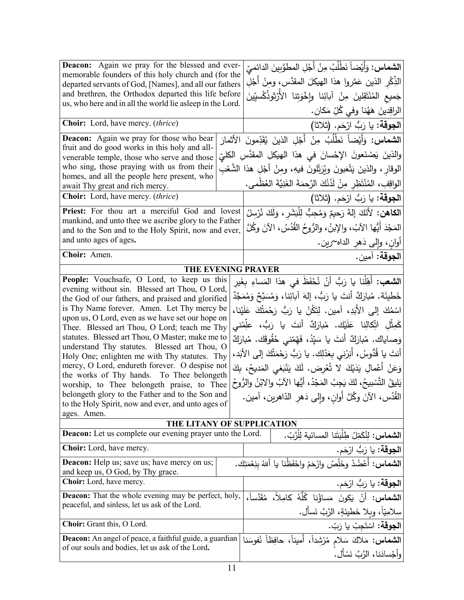| Deacon: Again we pray for the blessed and ever-<br>memorable founders of this holy church and (for the<br>departed servants of God, [Names], and all our fathers<br>and brethren, the Orthodox departed this life before                                                                                                                                                                                                                                                                                                                                                                                                                                                                                                        |  | ا <b>لشماس :</b> وَأَيْضاً نَطْلُبُ مِنْ أَجْلِ المطوَّبِينَ الدائميّ<br>الذِّكْرِ الذينِ عَمَّروا هذا الهيكلَ المقدَّس، ومنْ أَجْلِ<br>جَميع المُنْتَقِلينَ مِنْ آبائِنا وإِخْوَتِنا الأَرْثوذُكْسيِّينَ                                                                                                                                                                                                                                                                                                                                                                                                                                                      |
|---------------------------------------------------------------------------------------------------------------------------------------------------------------------------------------------------------------------------------------------------------------------------------------------------------------------------------------------------------------------------------------------------------------------------------------------------------------------------------------------------------------------------------------------------------------------------------------------------------------------------------------------------------------------------------------------------------------------------------|--|----------------------------------------------------------------------------------------------------------------------------------------------------------------------------------------------------------------------------------------------------------------------------------------------------------------------------------------------------------------------------------------------------------------------------------------------------------------------------------------------------------------------------------------------------------------------------------------------------------------------------------------------------------------|
| us, who here and in all the world lie asleep in the Lord.<br>Choir: Lord, have mercy. (thrice)                                                                                                                                                                                                                                                                                                                                                                                                                                                                                                                                                                                                                                  |  | الراقِدينَ هَهُنا وفي كُلِّ مَكان.                                                                                                                                                                                                                                                                                                                                                                                                                                                                                                                                                                                                                             |
|                                                                                                                                                                                                                                                                                                                                                                                                                                                                                                                                                                                                                                                                                                                                 |  | ا <b>لجوقة:</b> يا رَبُّ ارْحَم. (ثلاثا)                                                                                                                                                                                                                                                                                                                                                                                                                                                                                                                                                                                                                       |
| Deacon: Again we pray for those who bear<br>fruit and do good works in this holy and all-                                                                                                                                                                                                                                                                                                                                                                                                                                                                                                                                                                                                                                       |  | ا <b>لشماس:</b> وَأَيْضاً نَطْلُبُ مِنْ أَجْلِ الذينَ يُقَدِّمونَ الأَثمارَ<br>والذينَ يَصْنَعونَ الإِحْسانَ في هذا الهيكلِ المقدَّسِ الكليِّ                                                                                                                                                                                                                                                                                                                                                                                                                                                                                                                  |
| venerable temple, those who serve and those<br>who sing, those praying with us from their                                                                                                                                                                                                                                                                                                                                                                                                                                                                                                                                                                                                                                       |  |                                                                                                                                                                                                                                                                                                                                                                                                                                                                                                                                                                                                                                                                |
| homes, and all the people here present, who                                                                                                                                                                                                                                                                                                                                                                                                                                                                                                                                                                                                                                                                                     |  | الوقارِ ، والذينَ يَتْعَبونَ ويُرَتِّلونَ فيهِ، ومِنْ أَجْلِ هذا الشَّعْبِ                                                                                                                                                                                                                                                                                                                                                                                                                                                                                                                                                                                     |
| await Thy great and rich mercy.                                                                                                                                                                                                                                                                                                                                                                                                                                                                                                                                                                                                                                                                                                 |  | الواقِفِ، المُنْتَظِرِ مِنْ لَذُنْكَ الرَّحمَةَ الغَنِيَّةَ العُظْمى.                                                                                                                                                                                                                                                                                                                                                                                                                                                                                                                                                                                          |
| Choir: Lord, have mercy. (thrice)                                                                                                                                                                                                                                                                                                                                                                                                                                                                                                                                                                                                                                                                                               |  | ا <b>لجوقة:</b> يا رَبُّ ارْحَم. (ثلاثا)                                                                                                                                                                                                                                                                                                                                                                                                                                                                                                                                                                                                                       |
| Priest: For thou art a merciful God and lovest                                                                                                                                                                                                                                                                                                                                                                                                                                                                                                                                                                                                                                                                                  |  | الكاهن: لأَنَكَ إِلهٌ رَحِيمٌ وَمُحِبٌّ لِلْبَشَرِ ، وَلَكَ نُرْسِلُ                                                                                                                                                                                                                                                                                                                                                                                                                                                                                                                                                                                           |
| mankind, and unto thee we ascribe glory to the Father<br>and to the Son and to the Holy Spirit, now and ever,                                                                                                                                                                                                                                                                                                                                                                                                                                                                                                                                                                                                                   |  | المَجْدَ أَيُّها الآبُ، والإبنُ، والرُّوحُ القُدُسُ، الآنَ وكُلَّ                                                                                                                                                                                                                                                                                                                                                                                                                                                                                                                                                                                              |
| and unto ages of ages.                                                                                                                                                                                                                                                                                                                                                                                                                                                                                                                                                                                                                                                                                                          |  | أوان، وإلى دَهر الداه~رين.                                                                                                                                                                                                                                                                                                                                                                                                                                                                                                                                                                                                                                     |
| Choir: Amen.                                                                                                                                                                                                                                                                                                                                                                                                                                                                                                                                                                                                                                                                                                                    |  | الجوقة: آمين.                                                                                                                                                                                                                                                                                                                                                                                                                                                                                                                                                                                                                                                  |
| THE EVENING PRAYER                                                                                                                                                                                                                                                                                                                                                                                                                                                                                                                                                                                                                                                                                                              |  |                                                                                                                                                                                                                                                                                                                                                                                                                                                                                                                                                                                                                                                                |
| People: Vouchsafe, O Lord, to keep us this<br>evening without sin. Blessed art Thou, O Lord,<br>the God of our fathers, and praised and glorified<br>is Thy Name forever. Amen. Let Thy mercy be<br>upon us, O Lord, even as we have set our hope on<br>Thee. Blessed art Thou, O Lord; teach me Thy<br>statutes. Blessed art Thou, O Master; make me to<br>understand Thy statutes. Blessed art Thou, O<br>Holy One; enlighten me with Thy statutes. Thy<br>mercy, O Lord, endureth forever. O despise not<br>the works of Thy hands. To Thee belongeth<br>worship, to Thee belongeth praise, to Thee<br>belongeth glory to the Father and to the Son and<br>to the Holy Spirit, now and ever, and unto ages of<br>ages. Amen. |  | ا <b>لشعب</b> : أَهِّلْنا يا رَبُّ أنْ نُحْفَظَ في هذا المَساءِ بِغَيرِ<br>خَطْيئَة. مُبارَكٌ أَنتَ يا رَبُّ، إِلهَ آبائِنا، وَمُسَبَّحٌ وَمُمَجَّدٌ<br>اسْمُكَ إِلَى الأَبَدِ، آمين. لِتَكُنْ يا رَبُّ رَحْمَتُكَ عَلَيْنا،<br>كَمِثْلِ اتِّكالِنا عَلَيْك. مُبارَكٌ أنتَ يا رَبُّ، علِّمْنـى<br>وَصاياك. مُبارَكٌ أَنتَ يا سَيِّدُ، فَهِّمْنى حُقُوقَك. مُبارَكٌ<br>أنتَ يا قُدُّوسُ، أَنِرْني بِعَدْلِك. يا رَبُّ رَحْمَتُكَ إلى الأَبَد،<br>وَعَنْ أَعْمالِ يَدَيْكَ لا تُعْرِض. لَكَ يَنْبَغي المَديحُ، بِكَ<br>يَليقُ التَّسْبِيحُ، لكَ يَجِبُ المَجْدُ، أَيُّها الآبُ والابْنُ والرُّوحُ<br>القُدُس، الآنَ وكُلَّ أُوانٍ، وإِلى دَهرِ الدَّاهرين، آمين. |
| THE LITANY OF SUPPLICATION                                                                                                                                                                                                                                                                                                                                                                                                                                                                                                                                                                                                                                                                                                      |  |                                                                                                                                                                                                                                                                                                                                                                                                                                                                                                                                                                                                                                                                |
| <b>Deacon:</b> Let us complete our evening prayer unto the Lord.                                                                                                                                                                                                                                                                                                                                                                                                                                                                                                                                                                                                                                                                |  | ا <b>لشماس:</b> لِنُكَصِّلْ طِلْبَتَنا المسائية لِلْرَّبِّ.                                                                                                                                                                                                                                                                                                                                                                                                                                                                                                                                                                                                    |
| Choir: Lord, have mercy.                                                                                                                                                                                                                                                                                                                                                                                                                                                                                                                                                                                                                                                                                                        |  | ا <b>لجوقة:</b> يا رَبُّ ارْحَم.                                                                                                                                                                                                                                                                                                                                                                                                                                                                                                                                                                                                                               |
| <b>Deacon:</b> Help us; save us; have mercy on us;<br>and keep us, O God, by Thy grace.                                                                                                                                                                                                                                                                                                                                                                                                                                                                                                                                                                                                                                         |  | ا <b>لشماس:</b> أَعْضُدْ وخَلِّصْ وارْحَمْ واحْفَظْنا يا أللهُ بنِعْمَتِك.                                                                                                                                                                                                                                                                                                                                                                                                                                                                                                                                                                                     |
| Choir: Lord, have mercy.                                                                                                                                                                                                                                                                                                                                                                                                                                                                                                                                                                                                                                                                                                        |  | ا <b>لجوقة:</b> يا رَبُّ ارْحَم.                                                                                                                                                                                                                                                                                                                                                                                                                                                                                                                                                                                                                               |
| <b>Deacon:</b> That the whole evening may be perfect, holy,<br>peaceful, and sinless, let us ask of the Lord.                                                                                                                                                                                                                                                                                                                                                                                                                                                                                                                                                                                                                   |  | ا <b>لشماس:</b> أَنْ يَكونَ مَساؤُنا كُلَّهُ كامِلاً، مُقَدَّساً،                                                                                                                                                                                                                                                                                                                                                                                                                                                                                                                                                                                              |
| Choir: Grant this, O Lord.                                                                                                                                                                                                                                                                                                                                                                                                                                                                                                                                                                                                                                                                                                      |  | سلامِيّاً، وبلا خَطيئةٍ، الرَّبَّ نَسأل.<br>ا <b>لجوقة:</b> اسْتَجِبْ يا رَبّ.                                                                                                                                                                                                                                                                                                                                                                                                                                                                                                                                                                                 |
| Deacon: An angel of peace, a faithful guide, a guardian                                                                                                                                                                                                                                                                                                                                                                                                                                                                                                                                                                                                                                                                         |  | الشماس: مَلاكَ سَلامِ مُرْشِداً، أَميناً، حافِظاً نُفوسَنا                                                                                                                                                                                                                                                                                                                                                                                                                                                                                                                                                                                                     |
| of our souls and bodies, let us ask of the Lord.                                                                                                                                                                                                                                                                                                                                                                                                                                                                                                                                                                                                                                                                                |  | وأجْسادَنا، الرَّبَّ نَسْأَل.                                                                                                                                                                                                                                                                                                                                                                                                                                                                                                                                                                                                                                  |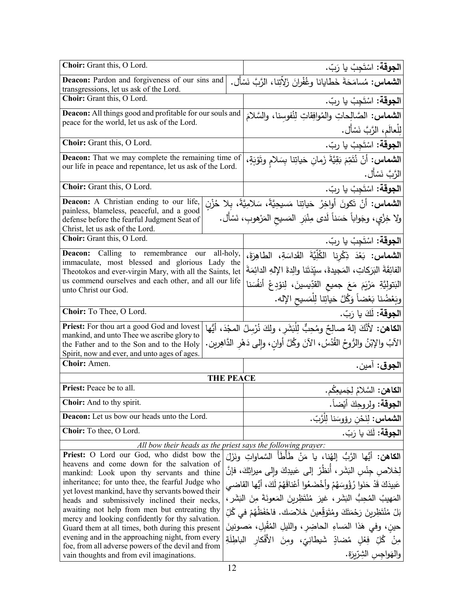| Choir: Grant this, O Lord.                                                                                                                                                                              | ا <b>لجوقة:</b> اسْتَجِبْ يا رَبّ.                                                       |  |
|---------------------------------------------------------------------------------------------------------------------------------------------------------------------------------------------------------|------------------------------------------------------------------------------------------|--|
| Deacon: Pardon and forgiveness of our sins and                                                                                                                                                          | ا <b>لشماس:</b> مُسامَحَةَ خَطايانا وغُفْرانَ زَلاّتِنا، الرَّبَّ نَسْأَل.               |  |
| transgressions, let us ask of the Lord.                                                                                                                                                                 |                                                                                          |  |
| Choir: Grant this, O Lord.                                                                                                                                                                              | <b>الجوقة:</b> اسْتَجِبْ يا ربّ.                                                         |  |
| Deacon: All things good and profitable for our souls and                                                                                                                                                | الشماس: الصَّالِحاتِ والمُوافِقاتِ لِنُفوسنا، والسَّلامَ                                 |  |
| peace for the world, let us ask of the Lord.                                                                                                                                                            | لِلْعالَمِ، الرَّبَّ نَسْأَل.                                                            |  |
| Choir: Grant this, O Lord.                                                                                                                                                                              |                                                                                          |  |
|                                                                                                                                                                                                         | ا <b>لجوقة:</b> اسْتَجِبْ يا ربّ.                                                        |  |
| <b>Deacon:</b> That we may complete the remaining time of<br>our life in peace and repentance, let us ask of the Lord.                                                                                  | الشماس: أَنْ نُتَمِّمَ بَقِيَّةَ زَمانِ حَياتِنا بِسَلامٍ وتَوْبَةٍ،                     |  |
|                                                                                                                                                                                                         | الرَّبَّ نَسْأَل.                                                                        |  |
| Choir: Grant this, O Lord.                                                                                                                                                                              | ا <b>لجوقة:</b> اسْتَجِبْ يا ربّ.                                                        |  |
| Deacon: A Christian ending to our life,                                                                                                                                                                 | ا <b>لشماس:</b> أنْ تَكونَ أواخِرُ حَياتِنا مَسيحِيَّةً، سَلامِيَّةً، بِلا خُزْنِ        |  |
| painless, blameless, peaceful, and a good                                                                                                                                                               |                                                                                          |  |
| defense before the fearful Judgment Seat of<br>Christ, let us ask of the Lord.                                                                                                                          | ولا خِزْيٍ، وجَواباً حَسَناً لَدى مِنْبَرِ  المَسيح المَرْهوبِ، نَسْأَل.                 |  |
| Choir: Grant this, O Lord.                                                                                                                                                                              | <b>الجوقة:</b> اسْتَجِبْ يا ربّ.                                                         |  |
| <b>Deacon:</b> Calling to remembrance our<br>all-holy,                                                                                                                                                  |                                                                                          |  |
| immaculate, most blessed and glorious Lady the                                                                                                                                                          | ا <b>لشماس:</b> بَعْدَ ذِكْرِنا الكُلِّيَّةَ القَداسَةِ، الطاهِرَةَ،                     |  |
| Theotokos and ever-virgin Mary, with all the Saints, let                                                                                                                                                | الفائِقَةَ البَرَكاتِ، المَجيدةَ، سيّدَتَنا والِدةَ الإِلهِ الدائِمَةَ                   |  |
| us commend ourselves and each other, and all our life<br>unto Christ our God.                                                                                                                           | البَتولِيَّةِ مَرْيَمَ مَعَ جميع القدِّيسينَ، لِنوْدِعْ أَنفُسَنا                        |  |
|                                                                                                                                                                                                         | وبَعْضُنا بَعْضاً وَكُلَّ حَياتِنا لِلْمَسيحِ الإِله.                                    |  |
| Choir: To Thee, O Lord.                                                                                                                                                                                 | الجوقة: لَكَ يا رَبّ.                                                                    |  |
| <b>Priest:</b> For thou art a good God and lovest                                                                                                                                                       | ا <b>لكاهن:</b> لأَنَّكَ إلهٌ صالِحٌ ومُحِبٌّ لِلْبَشَرِ ، ولكَ نُرْسِلُ المجْدَ، أيُّها |  |
| mankind, and unto Thee we ascribe glory to                                                                                                                                                              | الآبُ والإبْنُ والرُّوحُ القُدُسُ، الآنَ وكُلَّ أوانِ، وإلى دَهْرِ الدَّاهِرين.          |  |
| the Father and to the Son and to the Holy<br>Spirit, now and ever, and unto ages of ages.                                                                                                               |                                                                                          |  |
| Choir: Amen.                                                                                                                                                                                            | ا <b>لجوق</b> : آمين.                                                                    |  |
| <b>THE PEACE</b>                                                                                                                                                                                        |                                                                                          |  |
| Priest: Peace be to all.                                                                                                                                                                                | ا <b>لكاهن:</b> السَّلامُ لِجَميعِكُم.                                                   |  |
| Choir: And to thy spirit.                                                                                                                                                                               | ا <b>لجوقة</b> : ولروحِكَ أيْضاً.                                                        |  |
| <b>Deacon:</b> Let us bow our heads unto the Lord.                                                                                                                                                      | ا <b>لشماس:</b> لِنَحْن رؤوسَنا لِلْرَّبّ.                                               |  |
| Choir: To thee, O Lord.                                                                                                                                                                                 |                                                                                          |  |
|                                                                                                                                                                                                         | ا <b>لجوقة:</b> لَكَ يا رَبّ.                                                            |  |
| $\overline{All}$ bow their heads as the priest says the following prayer:<br>Priest: O Lord our God, who didst bow the<br>ا <b>لكاهن:</b> أَيُّها الرَّبُّ إلهُنا، يا مَنْ طَأَطَأَ السَّماواتِ ونَزَلَ |                                                                                          |  |
| heavens and come down for the salvation of                                                                                                                                                              |                                                                                          |  |
| mankind: Look upon thy servants and thine                                                                                                                                                               | لِخَلاص جِنْس البَشَر ، أَنظُرْ ۖ إلى عَبيدِكَ وإلى ميراثِكَ، فإنَّ                      |  |
| inheritance; for unto thee, the fearful Judge who<br>yet lovest mankind, have thy servants bowed their                                                                                                  | عَبِيدَكَ قَدْ حَنَوا رُؤُوسَهُمْ وأَخْضَعُوا أَعْناقَهُمْ لَكَ، أَيُّها القاضي          |  |
| heads and submissively inclined their necks,                                                                                                                                                            | المَهيبُ الْمُحِبُّ الْبَشَرِ ، غيرَ مُنْتَظِرِينَ الْمَعونَةَ مِنَ الْبَشَرِ ،          |  |
| awaiting not help from men but entreating thy                                                                                                                                                           | بَلْ مُنْتَظِرِينَ رَحْمَتَكَ ومُتَوَقِّعِينَ خَلاصَك. فاحْفَظْهُمْ في كُلِّ             |  |
| mercy and looking confidently for thy salvation.<br>Guard them at all times, both during this present                                                                                                   | حين، وفي هَذا المَساءِ الحاضِرِ، والليلِ المُقْبِلِ، مَصونينَ                            |  |
| evening and in the approaching night, from every                                                                                                                                                        | مِنْ كُلِّ فِعْلِ مُضادٍّ شَيطانِيِّ، ومِنَ الأَفْكارِ الباطِلَةِ                        |  |
| foe, from all adverse powers of the devil and from<br>vain thoughts and from evil imaginations.                                                                                                         | والهَواجِس الشِّرْيِرَةِ.                                                                |  |
|                                                                                                                                                                                                         |                                                                                          |  |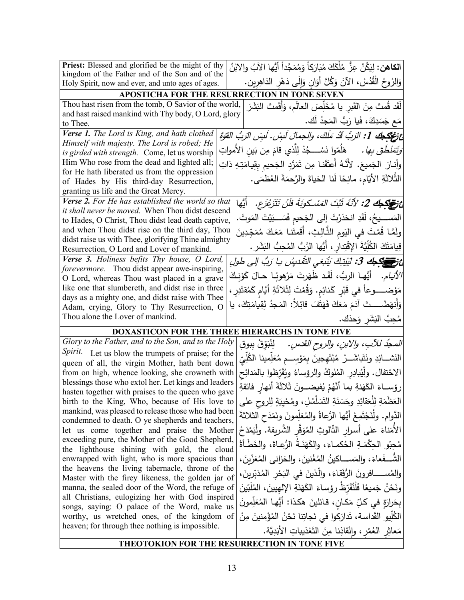| Priest: Blessed and glorified be the might of thy                                                             | ا <b>لكاهن:</b> لِيَكُنْ عِزٌ مُلْكَكَ مُبَارَكاً وَمُمَجَّداً أَيُّها الآبُ والابْنُ |
|---------------------------------------------------------------------------------------------------------------|---------------------------------------------------------------------------------------|
| kingdom of the Father and of the Son and of the                                                               | وَالزُوحُ الْقُدُسْ، الآنَ وَكُلَّ أَوَانٍ وَإِلَى دَهْرِ الدَاهِرِينِ.               |
| Holy Spirit, now and ever, and unto ages of ages.                                                             |                                                                                       |
|                                                                                                               | APOSTICHA FOR THE RESURRECTION IN TONE SEVEN                                          |
| Thou hast risen from the tomb, O Savior of the world,<br>and hast raised mankind with Thy body, O Lord, glory | لَقَد قَمتَ مِنَ القَبْرِ يا مُخَلِّصَ الْعالَم، وَأَقَمتَ النَشَرَ                   |
| to Thee.                                                                                                      | مَع جَسَدِكَ، فَيا رَبُّ المَجدُ لَك.                                                 |
| Verse 1. The Lord is King, and hath clothed                                                                   | عْ تَرْجُ كِجُكَ 1: الرَبُّ قَدْ مَلَكَ، والجمالَ لَبِسْ. لَبِسَ الرَبُّ القَوَّةِ    |
| Himself with majesty. The Lord is robed; He                                                                   |                                                                                       |
| is girded with strength. Come, let us worship                                                                 | َ <i>وتَمَنْطَقَ بِها.</i> هَلَمّوا نَسْــــجُدْ لِلّذي قامَ مِن بَين الأمواتِ        |
| Him Who rose from the dead and lighted all;                                                                   | وأنـارَ الجَميعَ. لأَنَّـهُ أَعتَقَنـا مِن تَمَرُّدِ الجَحيمِ بِقِيـامَتِـهِ ذاتِ     |
| for He hath liberated us from the oppression                                                                  | الثِّلاثَةِ الأيّام، مانِحًا لَنا الحَياةَ والرَّحمَةَ العُظمَى.                      |
| of Hades by His third-day Resurrection,                                                                       |                                                                                       |
| granting us life and the Great Mercy.<br>Verse 2. For He has established the world so that                    |                                                                                       |
| it shall never be moved. When Thou didst descend                                                              | ئ قَمَرَ اللَّهُ عَنْهُ عَبْدَتَ السَّسْكُونَةَ فَلَنْ تَتَزَعْزَعِ. ۚ أَيُّها        |
| to Hades, O Christ, Thou didst lead death captive,                                                            | المَســــيحُ، لَقَدِ انحَدَرْتَ إلى الجَحيم فَسَـــبَيْتَ المَوتَ.                    |
| and when Thou didst rise on the third day, Thou                                                               | ولَمَّـا قُمْتَ في اليَومِ الثَّـالِثِ، أَقَمتَنـا مَعَكَ مُمَجِّدِينَ                |
| didst raise us with Thee, glorifying Thine almighty                                                           | قِيامَتَكَ الْكُلِّيَّةَ الإِقْتِدارِ ، أَيُّها الرَّبُّ الْمُحِبُّ الْبَشَرِ .       |
| Resurrection, O Lord and Lover of mankind.                                                                    |                                                                                       |
| Verse 3. Holiness befits Thy house, O Lord,<br>forevermore. Thou didst appear awe-inspiring,                  | عْ فَرَسَسَنَ حَجْكَ 3: لَبِيْتِكَ يَنْبَغِي التَّقْدِيِسُ يا رَبُّ إِلِي طُولِ       |
| O Lord, whereas Thou wast placed in a grave                                                                   | <i>الأيام.</i> أيُهـا الربُّ، لَقَد ظَهَرتَ مَرْهوبًـا حـالَ كَوْنِـكَ                |
| like one that slumbereth, and didst rise in three                                                             |                                                                                       |
| days as a mighty one, and didst raise with Thee                                                               | مَوْضــــــوعاً في قَبْرِ كَنائِم. وَقُمْتَ لِثَلاثَةِ أَيَّام كَمُقتَدِرِ ،          |
|                                                                                                               |                                                                                       |
|                                                                                                               | وَأَنهَضْــــتَ آدَمَ مَعَكَ فَهَتَفَ قائِلاً: المَجدُ لِقِيامَتِكَ، يا               |
| Adam, crying, Glory to Thy Resurrection, O<br>Thou alone the Lover of mankind.                                |                                                                                       |
|                                                                                                               | مُحِبَّ النَشَرِ وَحدَك.                                                              |
|                                                                                                               | <b>DOXASTICON FOR THE THREE HIERARCHS IN TONE FIVE</b>                                |
| Glory to the Father, and to the Son, and to the Holy<br>Spirit.                                               | <i>المجدُ للأبِ، والابنِ، والروح القدسِ.</i> لِنُبَوِّقْ بِبوقِ                       |
| Let us blow the trumpets of praise; for the<br>queen of all, the virgin Mother, hath bent down                | النَشـــائِدِ ونَتَباشَـــرْ مُبْتَهِجينَ بِمَوْسِـــمِ مُعَلِّمينا الكُلِّيّ         |
| from on high, whence looking, she crowneth with                                                               |                                                                                       |
| blessings those who extol her. Let kings and leaders                                                          | الاختفال. ولْيُبادِرِ المُلوكُ والرؤساءُ ويُقَرِّطُوا بالمَدائِح                      |
| hasten together with praises to the queen who gave                                                            | رؤســاءَ الكَهَنةِ بما أَنَّهُمْ يُفيضـــونَ ثَلاثَةَ أنهارِ فائقةِ                   |
| birth to the King, Who, because of His love to                                                                | العَظَمَةِ لِلْعَقائِدِ وحَسَنَةِ التَسَلْسُلِ، ومُحْيِيَةٍ لِلروحِ على               |
| mankind, was pleased to release those who had been                                                            | الدَّوام. ولْنَجْتَمِعْ أَيُّها الرُّعاةُ والمُعَلِّمونَ ونَمْدَحِ الثلاثةَ           |
| condemned to death. O ye shepherds and teachers,<br>let us come together and praise the Mother                | الأَمَناءَ على أسرار الثَّالوثِ المُوَقِّر الشَّريفة. ولْيَمْدَحْ                     |
| exceeding pure, the Mother of the Good Shepherd,                                                              |                                                                                       |
| the lighthouse shining with gold, the cloud                                                                   | مُجبِّو الحِكْمَـةِ الحُكمـاءَ، والكَهَنَـةُ الرُّعـاةَ، والخَطَـأةُ                  |
| enwrapped with light, who is more spacious than                                                               | الشُّـــفَعاءَ، والمَســـاكينُ المُغْنينَ، والحَزاني المُعَزِّبنَ،                    |
| the heavens the living tabernacle, throne of the                                                              | والمُســــــافرونَ الرُّفَقاءَ، والَّذينَ في البَحْرِ المُدَبِّرِينَ،                 |
| Master with the firey likeness, the golden jar of<br>manna, the sealed door of the Word, the refuge of        | ونَحْنُ جَميعًا فَلْنُقَرِّظْ رؤساءَ الكَهَنَةِ الإلهيينَ، المُلَبِّينَ               |
| all Christians, eulogizing her with God inspired                                                              |                                                                                       |
| songs, saying: O palace of the Word, make us                                                                  | بِحَرارَةٍ في كلِّ مَكانِ، قائلينَ هكذا: أيُّها المُعَلِّمونَ                         |
| worthy, us wretched ones, of the kingdom of                                                                   | الكُلِّيو القَداسة، تَدارَكوا في نَجاتِنا نَحْنُ المُؤْمِنينَ مِنْ                    |
| heaven; for through thee nothing is impossible.                                                               | مَعاثِرِ العُمْرِ ، وإنْقاذِنا مِنَ النَّعْذيباتِ الأَبَدِيَّةِ.                      |

I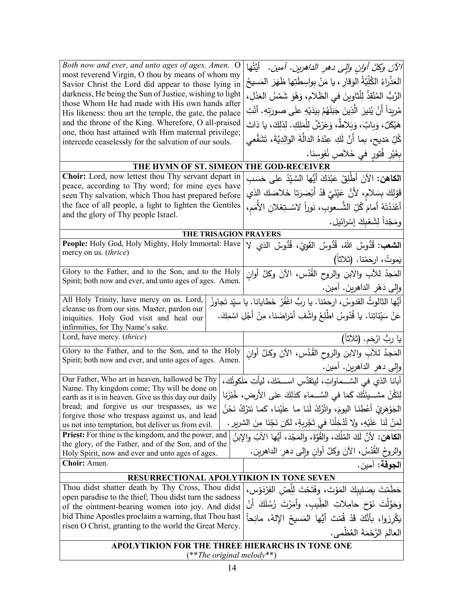| Both now and ever, and unto ages of ages. Amen. O                                                                   |  | الآنَ وكلَّ أوانِ وإلى دهرِ الداهرينِ. آمين.   أيَّتُها                          |  |
|---------------------------------------------------------------------------------------------------------------------|--|----------------------------------------------------------------------------------|--|
| most reverend Virgin, O thou by means of whom my<br>Savior Christ the Lord did appear to those lying in             |  | العَذْراءُ الكُلِّيَّةُ الوَقارِ ، يا مَنْ بِواسِطَتِها ظَهَرَ المَسيحُ          |  |
| darkness, He being the Sun of Justice, wishing to light                                                             |  | الرَّبُّ المُنْقِذُ لِلْثاوينَ في الظَّلام، وَهُوَ شَمْسُ العَذْلِ،              |  |
| those Whom He had made with His own hands after                                                                     |  | مُرِيداً أَنْ يُنيرَ  الَّذِينَ جَبَلَهُمْ بِيَدَيْهِ علَى صورَتِهِ. أَنْتِ      |  |
| His likeness: thou art the temple, the gate, the palace<br>and the throne of the King. Wherefore, O all-praised     |  |                                                                                  |  |
| one, thou hast attained with Him maternal privilege;                                                                |  | هَيْكَلٌ، وَبِابٌ، وَبَلاطٌ، وَعَرْشٌ لِلْمَلِكِ. لِذَلِكَ، يا ذاتَ              |  |
| intercede ceaselessly for the salvation of our souls.                                                               |  | كُلِّ مَديح، بِما أَنَّ لَكِ عِنْدَهُ الدالَّةَ الوالِدِيَّةَ، تَشَفَّعي         |  |
|                                                                                                                     |  | بِغَيْرٍ فُتورٍ في خَلاصٍ نُفوسِنا.                                              |  |
| THE HYMN OF ST. SIMEON THE GOD-RECEIVER                                                                             |  |                                                                                  |  |
| <b>Choir:</b> Lord, now lettest thou Thy servant depart in                                                          |  | ا <b>لكاهن:</b> الآنَ أَطْلِقْ عَبْدَكَ أَيُّها السَّيِّدُ على حَسَبِ            |  |
| peace, according to Thy word; for mine eyes have<br>seen Thy salvation, which Thou hast prepared before             |  | قَوْلِكَ بِسَلامٍ، لأَنَّ عَيْنَيَّ قَدْ أَبْصَرَتِا خَلاصَكَ الذي               |  |
| the face of all people, a light to lighten the Gentiles                                                             |  | أَعْدَدْتَهُ أَمامَ كُلِّ الشُّــعوبِ، نوراً لاسْــتِعْلانِ الأَمَمِ،            |  |
| and the glory of Thy people Israel.                                                                                 |  | ومَجْداً لِشَعْبِكَ إِسْرائيل.                                                   |  |
|                                                                                                                     |  | THE TRISAGION PRAYERS                                                            |  |
| People: Holy God, Holy Mighty, Holy Immortal: Have                                                                  |  | ا <b>لشعب:</b> قُدُّوسٌ اللهُ، قُدُّوسٌ القَوِيّ، قُدُّوسٌ الذ <i>ي</i> لا       |  |
| mercy on us. (thrice)                                                                                               |  |                                                                                  |  |
|                                                                                                                     |  | يَموتُ، ارحَمْنا. (ثلاثاً)                                                       |  |
| Glory to the Father, and to the Son, and to the Holy<br>Spirit; both now and ever, and unto ages of ages. Amen.     |  | المَجدُ للأَبِ والابنِ والروح القُدُسِ، الآنَ وكلَّ أوانِ                        |  |
|                                                                                                                     |  | وإِلى دَهْرِ الداهرينَ. أمين.                                                    |  |
| All Holy Trinity, have mercy on us. Lord,                                                                           |  | أَيُّها الثالوثُ القدوسُ، ارحمْنا. يا ربُّ اغْفُرْ خَطايانا. يا سيِّد تَجاوزْ    |  |
| cleanse us from our sins. Master, pardon our<br>iniquities. Holy God visit and heal our                             |  | عَنْ سَيِّئاتِنا. يا قُدّوسُ اطّلعْ واشْفِ أمْراضَنا، مِنْ أَجْلِ اسْمِكَ.       |  |
| infirmities, for Thy Name's sake.                                                                                   |  |                                                                                  |  |
| Lord, have mercy. (thrice)                                                                                          |  | يا ربُ ارْحَم. (ثلاثاً)                                                          |  |
| Glory to the Father, and to the Son, and to the Holy                                                                |  | المَجدُ للأَبِ والابنِ والروحِ القُدُسِ، الآنَ وكلَّ أوانِ                       |  |
| Spirit; both now and ever, and unto ages of ages. Amen.                                                             |  | وإلى دهرِ الداهرينَ. أمين.                                                       |  |
| Our Father, Who art in heaven, hallowed be Thy                                                                      |  | أبانا الذي في السَّـــماواتِ، لِيتقدَّسِ اســــمُكَ، ليأتِ مَلَكوتُك،            |  |
| Name. Thy kingdom come; Thy will be done on                                                                         |  | لِتَكُنْ مشــيئَتُكَ كَمَا في السَّــماءِ كذلِكَ على الأرضِ، خُبْزَنا            |  |
| earth as it is in heaven. Give us this day our daily<br>bread; and forgive us our trespasses, as we                 |  |                                                                                  |  |
| forgive those who trespass against us, and lead                                                                     |  | الجَوْهَريّ أَعْطِنَا اليومَ، واتْرُكْ لَذَا ما علَيْنا، كما نَترُكُ نَحْنُ      |  |
| us not into temptation, but deliver us from evil.                                                                   |  | لِمَنْ لَنا عَلَيْهِ، ولا تُدْخِلْنَا في تَجْرِبِةٍ، لكن نَجِّنَا مِنَ الشريرِ . |  |
| <b>Priest:</b> For thine is the kingdom, and the power, and<br>the glory, of the Father, and of the Son, and of the |  | الكاهن: لأنَّ لَكَ المُلْكَ، والقُوَّةَ، والمَجْدَ، أَيُّها الآبُ والإبنُ        |  |
| Holy Spirit, now and ever and unto ages of ages.                                                                    |  | والروحُ القُدُسُ، الآنَ وكلَّ أوانِ وإلى دهرِ الداهرين.                          |  |
| Choir: Amen.                                                                                                        |  | ا <b>لجوقة:</b> آمين.                                                            |  |
|                                                                                                                     |  | <b>RESURRECTIONAL APOLYTIKION IN TONE SEVEN</b>                                  |  |
| Thou didst shatter death by Thy Cross, Thou didst                                                                   |  | حَطْمْتَ بِصَلِيبِكَ الْمَوْتَ، وفَتَحْتَ لِلِّصِّ الفِرْدَوْسِ،                 |  |
| open paradise to the thief; Thou didst turn the sadness                                                             |  | وَحَوَّلْتَ نَوْحَ حامِلاتِ الطِّيبِ، وأَمَرْتَ رُسُلَكَ أَنْ                    |  |
| of the ointment-bearing women into joy. And didst<br>bid Thine Apostles proclaim a warning, that Thou hast          |  |                                                                                  |  |
| risen O Christ, granting to the world the Great Mercy.                                                              |  | يَكْرِزوا، بِأَنَّكَ قَدْ قُمْتَ أَيُّها المَسيحُ الإِلهُ، مانِحاً               |  |
|                                                                                                                     |  | العالَمَ الرَّحْمَةَ العُظْمي.                                                   |  |
| APOLYTIKION FOR THE THREE HIERARCHS IN TONE ONE                                                                     |  |                                                                                  |  |
|                                                                                                                     |  | $(**The original \, meldy**)$                                                    |  |

(\*\**The original melody*\*\*)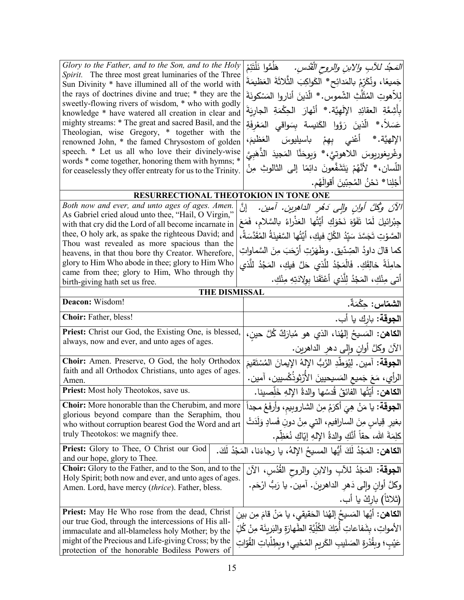| Glory to the Father, and to the Son, and to the Holy<br>Spirit. The three most great luminaries of the Three<br>Sun Divinity * have illumined all of the world with<br>the rays of doctrines divine and true; * they are the<br>sweetly-flowing rivers of wisdom, * who with godly<br>knowledge * have watered all creation in clear and<br>mighty streams: * The great and sacred Basil, and the | <i>المَجُد للآبِ والابنِ والروح القُدْسِ.</i> هَلُمُّوا نَلْتَئِمْ<br>جَميعًا، ونُكَرِّمْ بالمَدائِحِ* الكَواكِبَ الثُّلاثَةَ العَظيمَةَ<br>لِلأَهوتِ المُثَلَّثِ الشَّموسِ. * الَّذينَ أناروا المَسْكونَةَ<br>بِأَشِعَّةِ العقائِدِ الإِلَهِيَّةِ.* أَنْهارَ الحِكْمَةِ الجارِيَةَ |
|---------------------------------------------------------------------------------------------------------------------------------------------------------------------------------------------------------------------------------------------------------------------------------------------------------------------------------------------------------------------------------------------------|-------------------------------------------------------------------------------------------------------------------------------------------------------------------------------------------------------------------------------------------------------------------------------------|
| Theologian, wise Gregory, * together with the<br>renowned John, * the famed Chrysostom of golden                                                                                                                                                                                                                                                                                                  | عَسَلاً، * الَّذينَ رَوَّوا الكَنيسة بِسَواقى المَعْرِفَةِ<br>الإلهيَّة. * أَعْني بِهِمْ باسيليوسَ العَظيمَ،                                                                                                                                                                        |
| speech. * Let us all who love their divinely-wise<br>words * come together, honoring them with hymns; *<br>for ceaselessly they offer entreaty for us to the Trinity.                                                                                                                                                                                                                             | وغْرِيغورِيوسَ اللاهوتيَّ، * وَيوحَنَّا المَجيدَ الذَّهَبِيَّ<br>اللِّسان، * لأَنَّهُمْ يَتَثَنَّفَّعونَ دائِمًا إلى الثالوثِ مِنْ                                                                                                                                                  |
|                                                                                                                                                                                                                                                                                                                                                                                                   | أَجْلِنا * نَحْنُ الْمُحِبّينَ أَقوالَهُم.                                                                                                                                                                                                                                          |
| RESURRECTIONAL THEOTOKION IN TONE ONE                                                                                                                                                                                                                                                                                                                                                             |                                                                                                                                                                                                                                                                                     |
| Both now and ever, and unto ages of ages. Amen.<br>As Gabriel cried aloud unto thee, "Hail, O Virgin,"<br>with that cry did the Lord of all become incarnate in                                                                                                                                                                                                                                   | ٳڹٞ<br>الآنَ وكُلَّ أُوانِ والِّي دَهْرِ الداهرِينِ. آمينِ.<br>جِبْرائيلَ لَمّا تَفَوَّهَ نَحْوَكِ أَيَّتُها العَذْراءُ بالسَّلام، فَمَعَ                                                                                                                                           |
| thee, O holy ark, as spake the righteous David; and                                                                                                                                                                                                                                                                                                                                               | الصَّوْتِ تَجَسَّدَ سَيّدُ الكُلِّ فيكِ، أَيَّتُها السَّفيذَةُ المُقَدَّسَةُ،                                                                                                                                                                                                       |
| Thou wast revealed as more spacious than the                                                                                                                                                                                                                                                                                                                                                      |                                                                                                                                                                                                                                                                                     |
| heavens, in that thou bore thy Creator. Wherefore,                                                                                                                                                                                                                                                                                                                                                | كما قالَ داودُ الصِّدّيقِ. وظَهَرْتِ أَرْحَبَ مِنَ السَّماواتِ                                                                                                                                                                                                                      |
| glory to Him Who abode in thee; glory to Him Who                                                                                                                                                                                                                                                                                                                                                  | حامِلَةً خالِقَكِ. فَالْمَجْدُ للَّذي حَلَّ فيكِ، المَجُدُ للَّذي                                                                                                                                                                                                                   |
| came from thee; glory to Him, Who through thy<br>birth-giving hath set us free.                                                                                                                                                                                                                                                                                                                   | أتي مِنْكِ، المَجْدُ لِلَّذي أَعْتَقَنا بولِادَتِهِ مِنْكِ.                                                                                                                                                                                                                         |
| <b>THE DISMISSAL</b>                                                                                                                                                                                                                                                                                                                                                                              |                                                                                                                                                                                                                                                                                     |
| Deacon: Wisdom!                                                                                                                                                                                                                                                                                                                                                                                   | ا <b>لشمّاس :</b> حكْمَةٌ.                                                                                                                                                                                                                                                          |
|                                                                                                                                                                                                                                                                                                                                                                                                   |                                                                                                                                                                                                                                                                                     |
| Choir: Father, bless!                                                                                                                                                                                                                                                                                                                                                                             |                                                                                                                                                                                                                                                                                     |
| Priest: Christ our God, the Existing One, is blessed,                                                                                                                                                                                                                                                                                                                                             | ا <b>لجوقة:</b> بارك يا أب.                                                                                                                                                                                                                                                         |
| always, now and ever, and unto ages of ages.                                                                                                                                                                                                                                                                                                                                                      | ا <b>لكاهن:</b> المَسيحُ إلهُنا، الذي هو مُبارَكٌ كُلَّ حينِ،<br>الآنَ وكلَّ أوانِ وإلى دهرِ الداهرين.                                                                                                                                                                              |
| Choir: Amen. Preserve, O God, the holy Orthodox                                                                                                                                                                                                                                                                                                                                                   |                                                                                                                                                                                                                                                                                     |
| faith and all Orthodox Christians, unto ages of ages.                                                                                                                                                                                                                                                                                                                                             | ا <b>لجوقة:</b> آمين. لِيُوَطِّدِ الرَّبُّ الإِلهُ الإِيمانَ المُسْتَقيمَ                                                                                                                                                                                                           |
| Amen.                                                                                                                                                                                                                                                                                                                                                                                             | الرأي، مَعَ جَميع المَسيحيينَ الأَرْثوذُكُسيين، آمين.                                                                                                                                                                                                                               |
| Priest: Most holy Theotokos, save us.                                                                                                                                                                                                                                                                                                                                                             | ا <b>لكاهن:</b> أيّتُها الفائقُ قُدسُها والدةُ اﻹلهِ خَلّصينا.                                                                                                                                                                                                                      |
| <b>Choir:</b> More honorable than the Cherubim, and more                                                                                                                                                                                                                                                                                                                                          | ا <b>لجوقة:</b> يا مَنْ هِيَ أَكرَمُ مِنَ الشاروبيم، وأرفَعُ مجداً                                                                                                                                                                                                                  |
| glorious beyond compare than the Seraphim, thou                                                                                                                                                                                                                                                                                                                                                   |                                                                                                                                                                                                                                                                                     |
| who without corruption bearest God the Word and art<br>truly Theotokos: we magnify thee.                                                                                                                                                                                                                                                                                                          | بغيرِ قِياسٍ مِنَ السارافيمِ، التي مِنْ دونِ فَسادٍ وَلَدَتْ                                                                                                                                                                                                                        |
| Priest: Glory to Thee, O Christ our God                                                                                                                                                                                                                                                                                                                                                           | كَلِمَةَ الله، حقاً أَنَّكِ والدةُ اﻹلهِ إيَّاكِ نُعَظِّم.<br>ا <b>لكاهن:</b> المَجْدُ لَكَ أَيُّها المسيحُ الإِلهُ، يا رجاءَنا، المَجْدُ لَكَ.                                                                                                                                     |
| and our hope, glory to Thee.                                                                                                                                                                                                                                                                                                                                                                      |                                                                                                                                                                                                                                                                                     |
| <b>Choir:</b> Glory to the Father, and to the Son, and to the                                                                                                                                                                                                                                                                                                                                     | ا <b>لجوقة:</b> المَجْدُ للآبِ والابنِ والروحِ القُدُسِ، الآنَ                                                                                                                                                                                                                      |
| Holy Spirit; both now and ever, and unto ages of ages.<br>Amen. Lord, have mercy <i>(thrice)</i> . Father, bless.                                                                                                                                                                                                                                                                                 | وكلَّ أوانِ وإلى دَهرِ الداهرينَ. آمين. يا رَبُّ ارْحَم.                                                                                                                                                                                                                            |
|                                                                                                                                                                                                                                                                                                                                                                                                   | (ثلاثاً) باركْ يا أب.                                                                                                                                                                                                                                                               |
| Priest: May He Who rose from the dead, Christ                                                                                                                                                                                                                                                                                                                                                     |                                                                                                                                                                                                                                                                                     |
| our true God, through the intercessions of His all-                                                                                                                                                                                                                                                                                                                                               | ا <b>لكاهن:</b> أَيُها المَسيحُ إلهُنا الحَقيقي، يا مَنْ قامَ مِن بين                                                                                                                                                                                                               |
| immaculate and all-blameless holy Mother; by the<br>might of the Precious and Life-giving Cross; by the                                                                                                                                                                                                                                                                                           | الأمواتِ، بشَفاعاتِ أَمِّكَ الكُلِّيَّةِ الطّهارَةِ والبَربِئَة مِنْ كُلِّ<br>عَيْبٍ؛ وبقُدْرةِ الصَليبِ الكَريمِ المُحْييِ؛ وبِطِلْباتِ القُوّاتِ                                                                                                                                  |